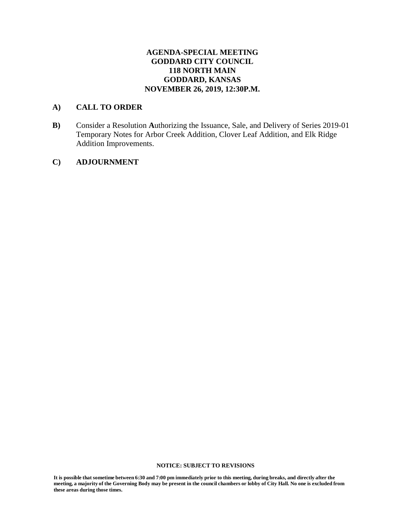# **AGENDA-SPECIAL MEETING GODDARD CITY COUNCIL 118 NORTH MAIN GODDARD, KANSAS NOVEMBER 26, 2019, 12:30P.M.**

# **A) CALL TO ORDER**

**B)** Consider a Resolution **A**uthorizing the Issuance, Sale, and Delivery of Series 2019-01 Temporary Notes for Arbor Creek Addition, Clover Leaf Addition, and Elk Ridge Addition Improvements.

# **C) ADJOURNMENT**

#### **NOTICE: SUBJECT TO REVISIONS**

It is possible that sometime between 6:30 and 7:00 pm immediately prior to this meeting, during breaks, and directly after the meeting, a majority of the Governing Body may be present in the council chambers or lobby of City Hall. No one is excluded from **these areas during those times.**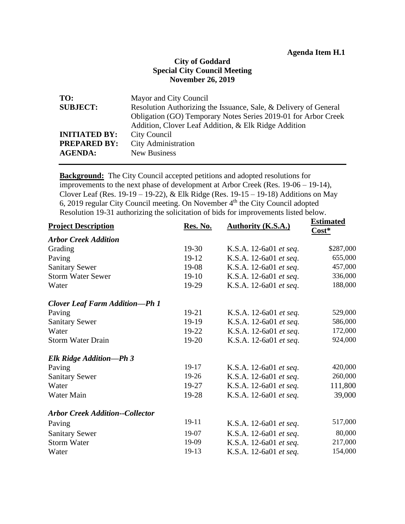# **Agenda Item H.1**

# **City of Goddard Special City Council Meeting November 26, 2019**

| Mayor and City Council                                           |
|------------------------------------------------------------------|
| Resolution Authorizing the Issuance, Sale, & Delivery of General |
| Obligation (GO) Temporary Notes Series 2019-01 for Arbor Creek   |
| Addition, Clover Leaf Addition, & Elk Ridge Addition             |
| City Council                                                     |
| <b>City Administration</b>                                       |
| <b>New Business</b>                                              |
|                                                                  |

**Background:** The City Council accepted petitions and adopted resolutions for improvements to the next phase of development at Arbor Creek (Res. 19-06 – 19-14), Clover Leaf (Res. 19-19 – 19-22), & Elk Ridge (Res. 19-15 – 19-18) Additions on May 6, 2019 regular City Council meeting. On November 4<sup>th</sup> the City Council adopted Resolution 19-31 authorizing the solicitation of bids for improvements listed below.

| <b>Project Description</b>             | Res. No. | Authority (K.S.A.)     | <b>Estimated</b><br>$Cost*$ |
|----------------------------------------|----------|------------------------|-----------------------------|
| <b>Arbor Creek Addition</b>            |          |                        |                             |
| Grading                                | $19-30$  | K.S.A. 12-6a01 et seq. | \$287,000                   |
| Paving                                 | 19-12    | K.S.A. 12-6a01 et seq. | 655,000                     |
| <b>Sanitary Sewer</b>                  | 19-08    | K.S.A. 12-6a01 et seq. | 457,000                     |
| <b>Storm Water Sewer</b>               | $19-10$  | K.S.A. 12-6a01 et seq. | 336,000                     |
| Water                                  | 19-29    | K.S.A. 12-6a01 et seq. | 188,000                     |
| <b>Clover Leaf Farm Addition-Ph 1</b>  |          |                        |                             |
| Paving                                 | $19-21$  | K.S.A. 12-6a01 et seq. | 529,000                     |
| <b>Sanitary Sewer</b>                  | 19-19    | K.S.A. 12-6a01 et seq. | 586,000                     |
| Water                                  | 19-22    | K.S.A. 12-6a01 et seq. | 172,000                     |
| <b>Storm Water Drain</b>               | 19-20    | K.S.A. 12-6a01 et seq. | 924,000                     |
| Elk Ridge Addition-Ph 3                |          |                        |                             |
| Paving                                 | 19-17    | K.S.A. 12-6a01 et seq. | 420,000                     |
| <b>Sanitary Sewer</b>                  | 19-26    | K.S.A. 12-6a01 et seq. | 260,000                     |
| Water                                  | 19-27    | K.S.A. 12-6a01 et seq. | 111,800                     |
| Water Main                             | 19-28    | K.S.A. 12-6a01 et seq. | 39,000                      |
| <b>Arbor Creek Addition--Collector</b> |          |                        |                             |
| Paving                                 | 19-11    | K.S.A. 12-6a01 et seq. | 517,000                     |
| <b>Sanitary Sewer</b>                  | 19-07    | K.S.A. 12-6a01 et seq. | 80,000                      |
| <b>Storm Water</b>                     | 19-09    | K.S.A. 12-6a01 et seq. | 217,000                     |
| Water                                  | 19-13    | K.S.A. 12-6a01 et seq. | 154,000                     |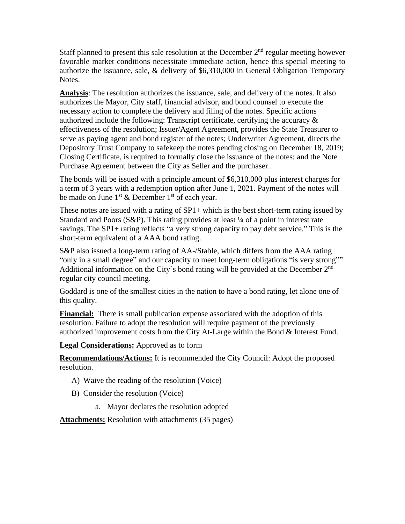Staff planned to present this sale resolution at the December  $2<sup>nd</sup>$  regular meeting however favorable market conditions necessitate immediate action, hence this special meeting to authorize the issuance, sale, & delivery of \$6,310,000 in General Obligation Temporary Notes.

**Analysis**: The resolution authorizes the issuance, sale, and delivery of the notes. It also authorizes the Mayor, City staff, financial advisor, and bond counsel to execute the necessary action to complete the delivery and filing of the notes. Specific actions authorized include the following: Transcript certificate, certifying the accuracy & effectiveness of the resolution; Issuer/Agent Agreement, provides the State Treasurer to serve as paying agent and bond register of the notes; Underwriter Agreement, directs the Depository Trust Company to safekeep the notes pending closing on December 18, 2019; Closing Certificate, is required to formally close the issuance of the notes; and the Note Purchase Agreement between the City as Seller and the purchaser..

The bonds will be issued with a principle amount of \$6,310,000 plus interest charges for a term of 3 years with a redemption option after June 1, 2021. Payment of the notes will be made on June  $1<sup>st</sup>$  & December  $1<sup>st</sup>$  of each year.

These notes are issued with a rating of  $SP1+$  which is the best short-term rating issued by Standard and Poors (S&P). This rating provides at least  $\frac{1}{4}$  of a point in interest rate savings. The SP1+ rating reflects "a very strong capacity to pay debt service." This is the short-term equivalent of a AAA bond rating.

S&P also issued a long-term rating of AA-/Stable, which differs from the AAA rating "only in a small degree" and our capacity to meet long-term obligations "is very strong"" Additional information on the City's bond rating will be provided at the December 2nd regular city council meeting.

Goddard is one of the smallest cities in the nation to have a bond rating, let alone one of this quality.

**Financial:** There is small publication expense associated with the adoption of this resolution. Failure to adopt the resolution will require payment of the previously authorized improvement costs from the City At-Large within the Bond & Interest Fund.

**Legal Considerations:** Approved as to form

**Recommendations/Actions:** It is recommended the City Council: Adopt the proposed resolution.

- A) Waive the reading of the resolution (Voice)
- B) Consider the resolution (Voice)
	- a. Mayor declares the resolution adopted

**Attachments:** Resolution with attachments (35 pages)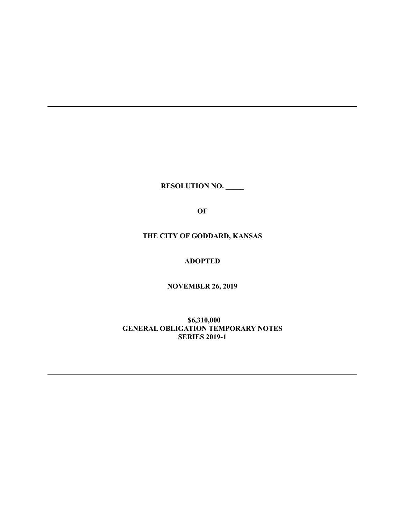**RESOLUTION NO. \_\_\_\_\_**

**OF**

**THE CITY OF GODDARD, KANSAS**

**ADOPTED**

**NOVEMBER 26, 2019**

**\$6,310,000 GENERAL OBLIGATION TEMPORARY NOTES SERIES 2019-1**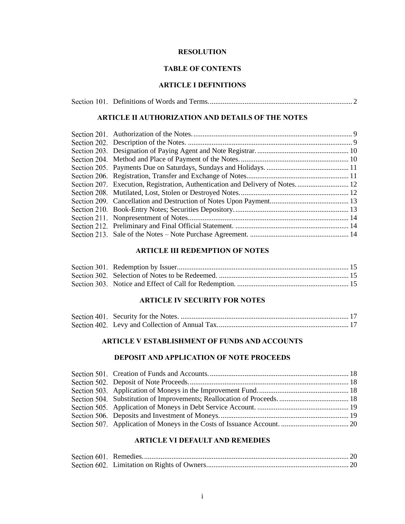## **RESOLUTION**

# **TABLE OF CONTENTS**

# **ARTICLE I DEFINITIONS**

|--|--|--|--|

# **ARTICLE II AUTHORIZATION AND DETAILS OF THE NOTES**

## **ARTICLE III REDEMPTION OF NOTES**

# **ARTICLE IV SECURITY FOR NOTES**

## **ARTICLE V ESTABLISHMENT OF FUNDS AND ACCOUNTS**

# **DEPOSIT AND APPLICATION OF NOTE PROCEEDS**

# **ARTICLE VI DEFAULT AND REMEDIES**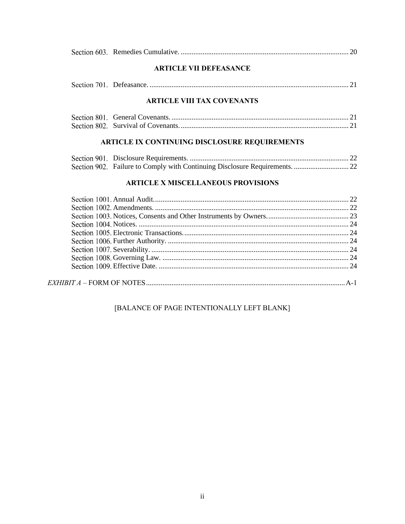|--|--|--|

# **ARTICLE VII DEFEASANCE**

|--|--|--|--|--|--|

# **ARTICLE VIII TAX COVENANTS**

# ARTICLE IX CONTINUING DISCLOSURE REQUIREMENTS

| Section 902. Failure to Comply with Continuing Disclosure Requirements.  22 |  |
|-----------------------------------------------------------------------------|--|

# **ARTICLE X MISCELLANEOUS PROVISIONS**

# [BALANCE OF PAGE INTENTIONALLY LEFT BLANK]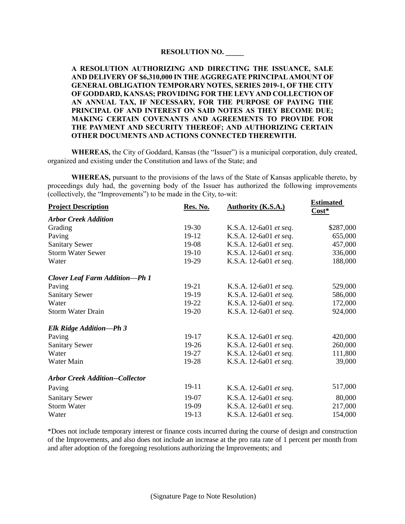# **RESOLUTION NO. \_\_\_\_\_**

# **A RESOLUTION AUTHORIZING AND DIRECTING THE ISSUANCE, SALE AND DELIVERY OF \$6,310,000 IN THE AGGREGATE PRINCIPAL AMOUNT OF GENERAL OBLIGATION TEMPORARY NOTES, SERIES 2019-1, OF THE CITY OF GODDARD, KANSAS; PROVIDING FOR THE LEVY AND COLLECTION OF AN ANNUAL TAX, IF NECESSARY, FOR THE PURPOSE OF PAYING THE PRINCIPAL OF AND INTEREST ON SAID NOTES AS THEY BECOME DUE; MAKING CERTAIN COVENANTS AND AGREEMENTS TO PROVIDE FOR THE PAYMENT AND SECURITY THEREOF; AND AUTHORIZING CERTAIN OTHER DOCUMENTS AND ACTIONS CONNECTED THEREWITH.**

**WHEREAS,** the City of Goddard, Kansas (the "Issuer") is a municipal corporation, duly created, organized and existing under the Constitution and laws of the State; and

**WHEREAS,** pursuant to the provisions of the laws of the State of Kansas applicable thereto, by proceedings duly had, the governing body of the Issuer has authorized the following improvements (collectively, the "Improvements") to be made in the City, to-wit:

| <b>Project Description</b>             | Res. No. | <b>Authority (K.S.A.)</b> | <b>Estimated</b><br>Cost* |
|----------------------------------------|----------|---------------------------|---------------------------|
| <b>Arbor Creek Addition</b>            |          |                           |                           |
| Grading                                | $19-30$  | K.S.A. 12-6a01 et seq.    | \$287,000                 |
| Paving                                 | 19-12    | K.S.A. 12-6a01 et seq.    | 655,000                   |
| <b>Sanitary Sewer</b>                  | $19-08$  | K.S.A. 12-6a01 et seq.    | 457,000                   |
| <b>Storm Water Sewer</b>               | $19-10$  | K.S.A. 12-6a01 et seq.    | 336,000                   |
| Water                                  | 19-29    | K.S.A. 12-6a01 et seq.    | 188,000                   |
| <b>Clover Leaf Farm Addition-Ph 1</b>  |          |                           |                           |
| Paving                                 | $19-21$  | K.S.A. 12-6a01 et seq.    | 529,000                   |
| <b>Sanitary Sewer</b>                  | 19-19    | K.S.A. 12-6a01 et seq.    | 586,000                   |
| Water                                  | $19-22$  | K.S.A. 12-6a01 et seq.    | 172,000                   |
| <b>Storm Water Drain</b>               | 19-20    | K.S.A. 12-6a01 et seq.    | 924,000                   |
| Elk Ridge Addition-Ph 3                |          |                           |                           |
| Paving                                 | 19-17    | K.S.A. 12-6a01 et seq.    | 420,000                   |
| <b>Sanitary Sewer</b>                  | $19-26$  | K.S.A. 12-6a01 et seq.    | 260,000                   |
| Water                                  | 19-27    | K.S.A. 12-6a01 et seq.    | 111,800                   |
| Water Main                             | 19-28    | K.S.A. 12-6a01 et seq.    | 39,000                    |
| <b>Arbor Creek Addition--Collector</b> |          |                           |                           |
| Paving                                 | 19-11    | K.S.A. 12-6a01 et seq.    | 517,000                   |
| <b>Sanitary Sewer</b>                  | 19-07    | K.S.A. 12-6a01 et seq.    | 80,000                    |
| <b>Storm Water</b>                     | 19-09    | K.S.A. 12-6a01 et seq.    | 217,000                   |
| Water                                  | 19-13    | K.S.A. 12-6a01 et seq.    | 154,000                   |

\*Does not include temporary interest or finance costs incurred during the course of design and construction of the Improvements, and also does not include an increase at the pro rata rate of 1 percent per month from and after adoption of the foregoing resolutions authorizing the Improvements; and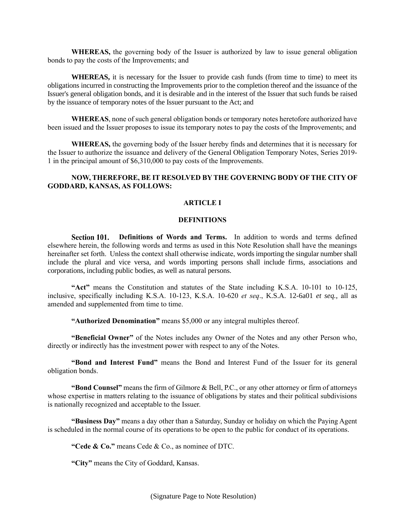**WHEREAS,** the governing body of the Issuer is authorized by law to issue general obligation bonds to pay the costs of the Improvements; and

**WHEREAS,** it is necessary for the Issuer to provide cash funds (from time to time) to meet its obligations incurred in constructing the Improvements prior to the completion thereof and the issuance of the Issuer's general obligation bonds, and it is desirable and in the interest of the Issuer that such funds be raised by the issuance of temporary notes of the Issuer pursuant to the Act; and

**WHEREAS**, none of such general obligation bonds or temporary notes heretofore authorized have been issued and the Issuer proposes to issue its temporary notes to pay the costs of the Improvements; and

**WHEREAS,** the governing body of the Issuer hereby finds and determines that it is necessary for the Issuer to authorize the issuance and delivery of the General Obligation Temporary Notes, Series 2019- 1 in the principal amount of \$6,310,000 to pay costs of the Improvements.

# **NOW, THEREFORE, BE IT RESOLVED BY THE GOVERNING BODY OF THE CITY OF GODDARD, KANSAS, AS FOLLOWS:**

## **ARTICLE I**

#### **DEFINITIONS**

**Definitions of Words and Terms.** In addition to words and terms defined elsewhere herein, the following words and terms as used in this Note Resolution shall have the meanings hereinafter set forth. Unless the context shall otherwise indicate, words importing the singular number shall include the plural and vice versa, and words importing persons shall include firms, associations and corporations, including public bodies, as well as natural persons.

**"Act"** means the Constitution and statutes of the State including K.S.A. 10-101 to 10-125, inclusive, specifically including K.S.A. 10-123, K.S.A. 10-620 *et seq*., K.S.A. 12-6a01 *et seq.*, all as amended and supplemented from time to time.

**"Authorized Denomination"** means \$5,000 or any integral multiples thereof.

**"Beneficial Owner"** of the Notes includes any Owner of the Notes and any other Person who, directly or indirectly has the investment power with respect to any of the Notes.

**"Bond and Interest Fund"** means the Bond and Interest Fund of the Issuer for its general obligation bonds.

**"Bond Counsel"** means the firm of Gilmore & Bell, P.C., or any other attorney or firm of attorneys whose expertise in matters relating to the issuance of obligations by states and their political subdivisions is nationally recognized and acceptable to the Issuer.

**"Business Day"** means a day other than a Saturday, Sunday or holiday on which the Paying Agent is scheduled in the normal course of its operations to be open to the public for conduct of its operations.

**"Cede & Co."** means Cede & Co., as nominee of DTC.

**"City"** means the City of Goddard, Kansas.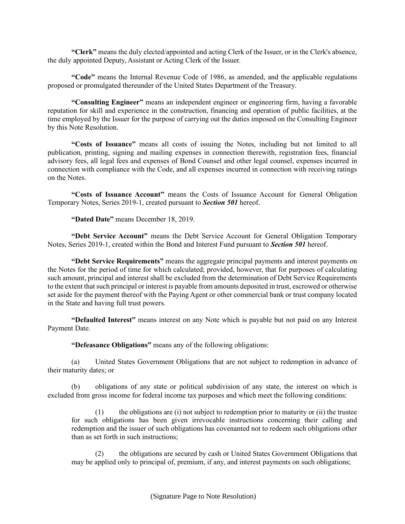**"Clerk"** means the duly elected/appointed and acting Clerk of the Issuer, or in the Clerk's absence, the duly appointed Deputy, Assistant or Acting Clerk of the Issuer.

**"Code"** means the Internal Revenue Code of 1986, as amended, and the applicable regulations proposed or promulgated thereunder of the United States Department of the Treasury.

**"Consulting Engineer"** means an independent engineer or engineering firm, having a favorable reputation for skill and experience in the construction, financing and operation of public facilities, at the time employed by the Issuer for the purpose of carrying out the duties imposed on the Consulting Engineer by this Note Resolution.

**"Costs of Issuance"** means all costs of issuing the Notes, including but not limited to all publication, printing, signing and mailing expenses in connection therewith, registration fees, financial advisory fees, all legal fees and expenses of Bond Counsel and other legal counsel, expenses incurred in connection with compliance with the Code, and all expenses incurred in connection with receiving ratings on the Notes.

**"Costs of Issuance Account"** means the Costs of Issuance Account for General Obligation Temporary Notes, Series 2019-1, created pursuant to *Section 501* hereof.

**"Dated Date"** means December 18, 2019.

**"Debt Service Account"** means the Debt Service Account for General Obligation Temporary Notes, Series 2019-1, created within the Bond and Interest Fund pursuant to *Section 501* hereof.

**"Debt Service Requirements"** means the aggregate principal payments and interest payments on the Notes for the period of time for which calculated; provided, however, that for purposes of calculating such amount, principal and interest shall be excluded from the determination of Debt Service Requirements to the extent that such principal or interest is payable from amounts deposited in trust, escrowed or otherwise set aside for the payment thereof with the Paying Agent or other commercial bank or trust company located in the State and having full trust powers.

**"Defaulted Interest"** means interest on any Note which is payable but not paid on any Interest Payment Date.

**"Defeasance Obligations"** means any of the following obligations:

(a) United States Government Obligations that are not subject to redemption in advance of their maturity dates; or

(b) obligations of any state or political subdivision of any state, the interest on which is excluded from gross income for federal income tax purposes and which meet the following conditions:

 $(1)$  the obligations are  $(i)$  not subject to redemption prior to maturity or  $(ii)$  the trustee for such obligations has been given irrevocable instructions concerning their calling and redemption and the issuer of such obligations has covenanted not to redeem such obligations other than as set forth in such instructions;

(2) the obligations are secured by cash or United States Government Obligations that may be applied only to principal of, premium, if any, and interest payments on such obligations;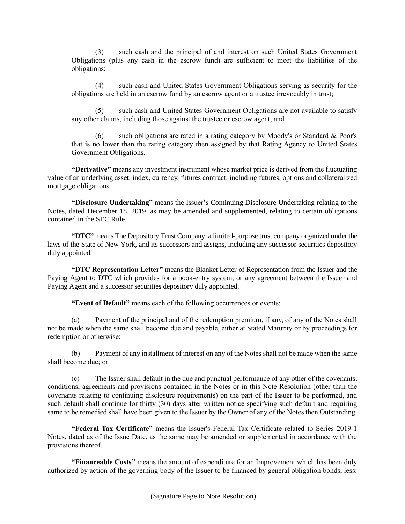(3) such cash and the principal of and interest on such United States Government Obligations (plus any cash in the escrow fund) are sufficient to meet the liabilities of the obligations;

(4) such cash and United States Government Obligations serving as security for the obligations are held in an escrow fund by an escrow agent or a trustee irrevocably in trust;

(5) such cash and United States Government Obligations are not available to satisfy any other claims, including those against the trustee or escrow agent; and

such obligations are rated in a rating category by Moody's or Standard  $&$  Poor's that is no lower than the rating category then assigned by that Rating Agency to United States Government Obligations.

**"Derivative"** means any investment instrument whose market price is derived from the fluctuating value of an underlying asset, index, currency, futures contract, including futures, options and collateralized mortgage obligations.

**"Disclosure Undertaking"** means the Issuer's Continuing Disclosure Undertaking relating to the Notes, dated December 18, 2019, as may be amended and supplemented, relating to certain obligations contained in the SEC Rule.

**"DTC"** means The Depository Trust Company, a limited-purpose trust company organized under the laws of the State of New York, and its successors and assigns, including any successor securities depository duly appointed.

**"DTC Representation Letter"** means the Blanket Letter of Representation from the Issuer and the Paying Agent to DTC which provides for a book-entry system, or any agreement between the Issuer and Paying Agent and a successor securities depository duly appointed.

**"Event of Default"** means each of the following occurrences or events:

(a) Payment of the principal and of the redemption premium, if any, of any of the Notes shall not be made when the same shall become due and payable, either at Stated Maturity or by proceedings for redemption or otherwise;

(b) Payment of any installment of interest on any of the Notes shall not be made when the same shall become due; or

(c) The Issuer shall default in the due and punctual performance of any other of the covenants, conditions, agreements and provisions contained in the Notes or in this Note Resolution (other than the covenants relating to continuing disclosure requirements) on the part of the Issuer to be performed, and such default shall continue for thirty (30) days after written notice specifying such default and requiring same to be remedied shall have been given to the Issuer by the Owner of any of the Notes then Outstanding.

**"Federal Tax Certificate"** means the Issuer's Federal Tax Certificate related to Series 2019-1 Notes, dated as of the Issue Date, as the same may be amended or supplemented in accordance with the provisions thereof.

**"Financeable Costs"** means the amount of expenditure for an Improvement which has been duly authorized by action of the governing body of the Issuer to be financed by general obligation bonds, less: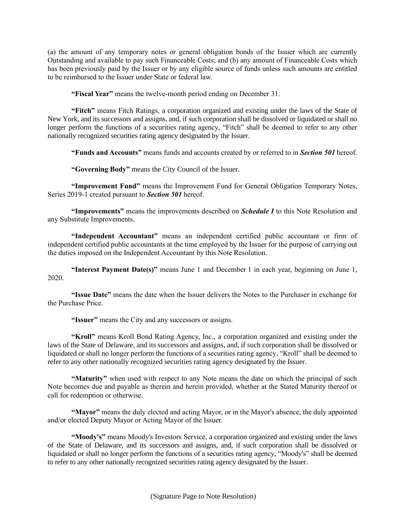(a) the amount of any temporary notes or general obligation bonds of the Issuer which are currently Outstanding and available to pay such Financeable Costs; and (b) any amount of Financeable Costs which has been previously paid by the Issuer or by any eligible source of funds unless such amounts are entitled to be reimbursed to the Issuer under State or federal law.

**"Fiscal Year"** means the twelve-month period ending on December 31.

**"Fitch"** means Fitch Ratings, a corporation organized and existing under the laws of the State of New York, and its successors and assigns, and, if such corporation shall be dissolved or liquidated or shall no longer perform the functions of a securities rating agency, "Fitch" shall be deemed to refer to any other nationally recognized securities rating agency designated by the Issuer.

**"Funds and Accounts"** means funds and accounts created by or referred to in *Section 501* hereof.

**"Governing Body"** means the City Council of the Issuer.

**"Improvement Fund"** means the Improvement Fund for General Obligation Temporary Notes, Series 2019-1 created pursuant to *Section 501* hereof.

**"Improvements"** means the improvements described on *Schedule I* to this Note Resolution and any Substitute Improvements.

**"Independent Accountant"** means an independent certified public accountant or firm of independent certified public accountants at the time employed by the Issuer for the purpose of carrying out the duties imposed on the Independent Accountant by this Note Resolution.

**"Interest Payment Date(s)"** means June 1 and December 1 in each year, beginning on June 1, 2020.

**"Issue Date"** means the date when the Issuer delivers the Notes to the Purchaser in exchange for the Purchase Price.

**"Issuer"** means the City and any successors or assigns.

**"Kroll"** means Kroll Bond Rating Agency, Inc., a corporation organized and existing under the laws of the State of Delaware, and its successors and assigns, and, if such corporation shall be dissolved or liquidated or shall no longer perform the functions of a securities rating agency, "Kroll" shall be deemed to refer to any other nationally recognized securities rating agency designated by the Issuer.

**"Maturity"** when used with respect to any Note means the date on which the principal of such Note becomes due and payable as therein and herein provided, whether at the Stated Maturity thereof or call for redemption or otherwise.

**"Mayor"** means the duly elected and acting Mayor, or in the Mayor's absence, the duly appointed and/or elected Deputy Mayor or Acting Mayor of the Issuer.

**"Moody's"** means Moody's Investors Service, a corporation organized and existing under the laws of the State of Delaware, and its successors and assigns, and, if such corporation shall be dissolved or liquidated or shall no longer perform the functions of a securities rating agency, "Moody's" shall be deemed to refer to any other nationally recognized securities rating agency designated by the Issuer.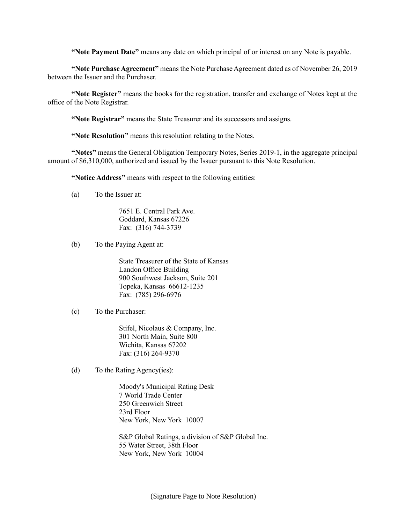**"Note Payment Date"** means any date on which principal of or interest on any Note is payable.

**"Note Purchase Agreement"** means the Note Purchase Agreement dated as of November 26, 2019 between the Issuer and the Purchaser.

**"Note Register"** means the books for the registration, transfer and exchange of Notes kept at the office of the Note Registrar.

**"Note Registrar"** means the State Treasurer and its successors and assigns.

**"Note Resolution"** means this resolution relating to the Notes.

**"Notes"** means the General Obligation Temporary Notes, Series 2019-1, in the aggregate principal amount of \$6,310,000, authorized and issued by the Issuer pursuant to this Note Resolution.

**"Notice Address"** means with respect to the following entities:

(a) To the Issuer at:

7651 E. Central Park Ave. Goddard, Kansas 67226 Fax: (316) 744-3739

(b) To the Paying Agent at:

State Treasurer of the State of Kansas Landon Office Building 900 Southwest Jackson, Suite 201 Topeka, Kansas 66612-1235 Fax: (785) 296-6976

(c) To the Purchaser:

Stifel, Nicolaus & Company, Inc. 301 North Main, Suite 800 Wichita, Kansas 67202 Fax: (316) 264-9370

(d) To the Rating Agency(ies):

Moody's Municipal Rating Desk 7 World Trade Center 250 Greenwich Street 23rd Floor New York, New York 10007

S&P Global Ratings, a division of S&P Global Inc. 55 Water Street, 38th Floor New York, New York 10004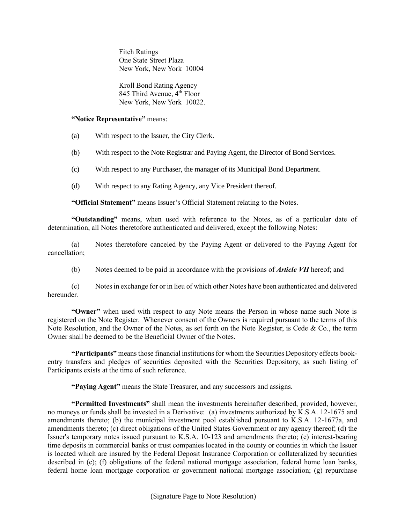Fitch Ratings One State Street Plaza New York, New York 10004

Kroll Bond Rating Agency 845 Third Avenue,  $4<sup>th</sup>$  Floor New York, New York 10022.

## **"Notice Representative"** means:

- (a) With respect to the Issuer, the City Clerk.
- (b) With respect to the Note Registrar and Paying Agent, the Director of Bond Services.
- (c) With respect to any Purchaser, the manager of its Municipal Bond Department.
- (d) With respect to any Rating Agency, any Vice President thereof.

**"Official Statement"** means Issuer's Official Statement relating to the Notes.

**"Outstanding"** means, when used with reference to the Notes, as of a particular date of determination, all Notes theretofore authenticated and delivered, except the following Notes:

(a) Notes theretofore canceled by the Paying Agent or delivered to the Paying Agent for cancellation;

(b) Notes deemed to be paid in accordance with the provisions of *Article VII* hereof; and

(c) Notes in exchange for or in lieu of which other Notes have been authenticated and delivered hereunder.

**"Owner"** when used with respect to any Note means the Person in whose name such Note is registered on the Note Register. Whenever consent of the Owners is required pursuant to the terms of this Note Resolution, and the Owner of the Notes, as set forth on the Note Register, is Cede & Co., the term Owner shall be deemed to be the Beneficial Owner of the Notes.

**"Participants"** means those financial institutions for whom the Securities Depository effects bookentry transfers and pledges of securities deposited with the Securities Depository, as such listing of Participants exists at the time of such reference.

**"Paying Agent"** means the State Treasurer, and any successors and assigns.

**"Permitted Investments"** shall mean the investments hereinafter described, provided, however, no moneys or funds shall be invested in a Derivative: (a) investments authorized by K.S.A. 12-1675 and amendments thereto; (b) the municipal investment pool established pursuant to K.S.A. 12-1677a, and amendments thereto; (c) direct obligations of the United States Government or any agency thereof; (d) the Issuer's temporary notes issued pursuant to K.S.A. 10-123 and amendments thereto; (e) interest-bearing time deposits in commercial banks or trust companies located in the county or counties in which the Issuer is located which are insured by the Federal Deposit Insurance Corporation or collateralized by securities described in (c); (f) obligations of the federal national mortgage association, federal home loan banks, federal home loan mortgage corporation or government national mortgage association; (g) repurchase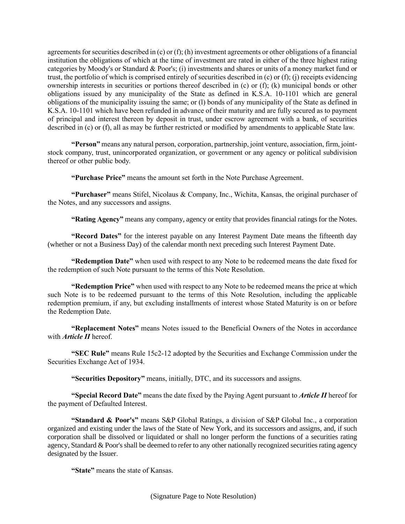agreements for securities described in (c) or (f); (h) investment agreements or other obligations of a financial institution the obligations of which at the time of investment are rated in either of the three highest rating categories by Moody's or Standard & Poor's; (i) investments and shares or units of a money market fund or trust, the portfolio of which is comprised entirely of securities described in (c) or (f); (j) receipts evidencing ownership interests in securities or portions thereof described in (c) or (f); (k) municipal bonds or other obligations issued by any municipality of the State as defined in K.S.A. 10-1101 which are general obligations of the municipality issuing the same; or (l) bonds of any municipality of the State as defined in K.S.A. 10-1101 which have been refunded in advance of their maturity and are fully secured as to payment of principal and interest thereon by deposit in trust, under escrow agreement with a bank, of securities described in (c) or (f), all as may be further restricted or modified by amendments to applicable State law.

**"Person"** means any natural person, corporation, partnership, joint venture, association, firm, jointstock company, trust, unincorporated organization, or government or any agency or political subdivision thereof or other public body.

**"Purchase Price"** means the amount set forth in the Note Purchase Agreement.

**"Purchaser"** means Stifel, Nicolaus & Company, Inc., Wichita, Kansas, the original purchaser of the Notes, and any successors and assigns.

**"Rating Agency"** means any company, agency or entity that provides financial ratings for the Notes.

**"Record Dates"** for the interest payable on any Interest Payment Date means the fifteenth day (whether or not a Business Day) of the calendar month next preceding such Interest Payment Date.

**"Redemption Date"** when used with respect to any Note to be redeemed means the date fixed for the redemption of such Note pursuant to the terms of this Note Resolution.

**"Redemption Price"** when used with respect to any Note to be redeemed means the price at which such Note is to be redeemed pursuant to the terms of this Note Resolution, including the applicable redemption premium, if any, but excluding installments of interest whose Stated Maturity is on or before the Redemption Date.

**"Replacement Notes"** means Notes issued to the Beneficial Owners of the Notes in accordance with *Article II* hereof.

**"SEC Rule"** means Rule 15c2-12 adopted by the Securities and Exchange Commission under the Securities Exchange Act of 1934.

**"Securities Depository"** means, initially, DTC, and its successors and assigns.

**"Special Record Date"** means the date fixed by the Paying Agent pursuant to *Article II* hereof for the payment of Defaulted Interest.

**"Standard & Poor's"** means S&P Global Ratings, a division of S&P Global Inc., a corporation organized and existing under the laws of the State of New York, and its successors and assigns, and, if such corporation shall be dissolved or liquidated or shall no longer perform the functions of a securities rating agency, Standard & Poor's shall be deemed to refer to any other nationally recognized securities rating agency designated by the Issuer.

**"State"** means the state of Kansas.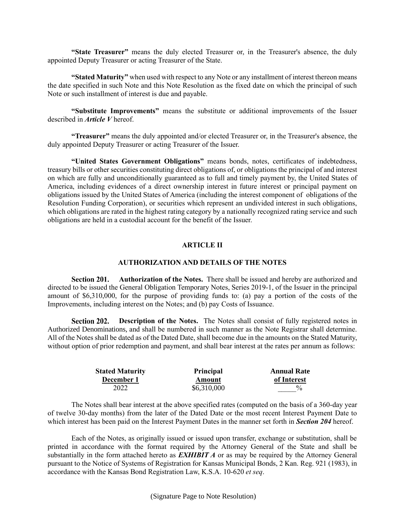**"State Treasurer"** means the duly elected Treasurer or, in the Treasurer's absence, the duly appointed Deputy Treasurer or acting Treasurer of the State.

**"Stated Maturity"** when used with respect to any Note or any installment of interest thereon means the date specified in such Note and this Note Resolution as the fixed date on which the principal of such Note or such installment of interest is due and payable.

**"Substitute Improvements"** means the substitute or additional improvements of the Issuer described in *Article V* hereof.

**"Treasurer"** means the duly appointed and/or elected Treasurer or, in the Treasurer's absence, the duly appointed Deputy Treasurer or acting Treasurer of the Issuer.

**"United States Government Obligations"** means bonds, notes, certificates of indebtedness, treasury bills or other securities constituting direct obligations of, or obligations the principal of and interest on which are fully and unconditionally guaranteed as to full and timely payment by, the United States of America, including evidences of a direct ownership interest in future interest or principal payment on obligations issued by the United States of America (including the interest component of obligations of the Resolution Funding Corporation), or securities which represent an undivided interest in such obligations, which obligations are rated in the highest rating category by a nationally recognized rating service and such obligations are held in a custodial account for the benefit of the Issuer.

## **ARTICLE II**

# **AUTHORIZATION AND DETAILS OF THE NOTES**

**Authorization of the Notes.** There shall be issued and hereby are authorized and Section 201. directed to be issued the General Obligation Temporary Notes, Series 2019-1, of the Issuer in the principal amount of \$6,310,000, for the purpose of providing funds to: (a) pay a portion of the costs of the Improvements, including interest on the Notes; and (b) pay Costs of Issuance.

**Description of the Notes.** The Notes shall consist of fully registered notes in Section 202. Authorized Denominations, and shall be numbered in such manner as the Note Registrar shall determine. All of the Notes shall be dated as of the Dated Date, shall become due in the amounts on the Stated Maturity, without option of prior redemption and payment, and shall bear interest at the rates per annum as follows:

| <b>Stated Maturity</b> | Principal   | <b>Annual Rate</b> |
|------------------------|-------------|--------------------|
| December 1             | Amount      | of Interest        |
| 2022                   | \$6,310,000 | $\frac{0}{0}$      |

The Notes shall bear interest at the above specified rates (computed on the basis of a 360-day year of twelve 30-day months) from the later of the Dated Date or the most recent Interest Payment Date to which interest has been paid on the Interest Payment Dates in the manner set forth in *Section 204* hereof.

Each of the Notes, as originally issued or issued upon transfer, exchange or substitution, shall be printed in accordance with the format required by the Attorney General of the State and shall be substantially in the form attached hereto as *EXHIBIT A* or as may be required by the Attorney General pursuant to the Notice of Systems of Registration for Kansas Municipal Bonds, 2 Kan. Reg. 921 (1983), in accordance with the Kansas Bond Registration Law, K.S.A. 10-620 *et seq*.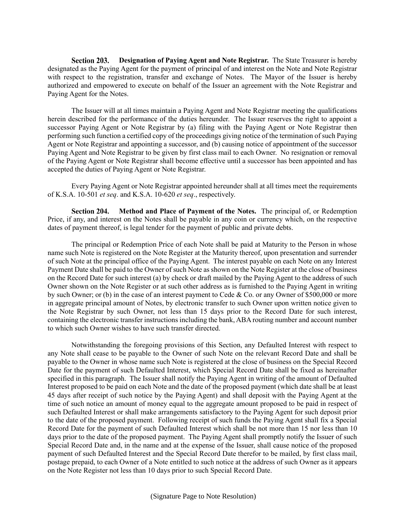Section 203. **Designation of Paying Agent and Note Registrar.** The State Treasurer is hereby designated as the Paying Agent for the payment of principal of and interest on the Note and Note Registrar with respect to the registration, transfer and exchange of Notes. The Mayor of the Issuer is hereby authorized and empowered to execute on behalf of the Issuer an agreement with the Note Registrar and Paying Agent for the Notes.

The Issuer will at all times maintain a Paying Agent and Note Registrar meeting the qualifications herein described for the performance of the duties hereunder. The Issuer reserves the right to appoint a successor Paying Agent or Note Registrar by (a) filing with the Paying Agent or Note Registrar then performing such function a certified copy of the proceedings giving notice of the termination of such Paying Agent or Note Registrar and appointing a successor, and (b) causing notice of appointment of the successor Paying Agent and Note Registrar to be given by first class mail to each Owner. No resignation or removal of the Paying Agent or Note Registrar shall become effective until a successor has been appointed and has accepted the duties of Paying Agent or Note Registrar.

Every Paying Agent or Note Registrar appointed hereunder shall at all times meet the requirements of K.S.A. 10-501 *et seq*. and K.S.A. 10-620 *et seq*., respectively.

**Method and Place of Payment of the Notes.** The principal of, or Redemption Section 204. Price, if any, and interest on the Notes shall be payable in any coin or currency which, on the respective dates of payment thereof, is legal tender for the payment of public and private debts.

The principal or Redemption Price of each Note shall be paid at Maturity to the Person in whose name such Note is registered on the Note Register at the Maturity thereof, upon presentation and surrender of such Note at the principal office of the Paying Agent. The interest payable on each Note on any Interest Payment Date shall be paid to the Owner of such Note as shown on the Note Register at the close of business on the Record Date for such interest (a) by check or draft mailed by the Paying Agent to the address of such Owner shown on the Note Register or at such other address as is furnished to the Paying Agent in writing by such Owner; or (b) in the case of an interest payment to Cede & Co. or any Owner of \$500,000 or more in aggregate principal amount of Notes, by electronic transfer to such Owner upon written notice given to the Note Registrar by such Owner, not less than 15 days prior to the Record Date for such interest, containing the electronic transfer instructions including the bank, ABA routing number and account number to which such Owner wishes to have such transfer directed.

Notwithstanding the foregoing provisions of this Section, any Defaulted Interest with respect to any Note shall cease to be payable to the Owner of such Note on the relevant Record Date and shall be payable to the Owner in whose name such Note is registered at the close of business on the Special Record Date for the payment of such Defaulted Interest, which Special Record Date shall be fixed as hereinafter specified in this paragraph. The Issuer shall notify the Paying Agent in writing of the amount of Defaulted Interest proposed to be paid on each Note and the date of the proposed payment (which date shall be at least 45 days after receipt of such notice by the Paying Agent) and shall deposit with the Paying Agent at the time of such notice an amount of money equal to the aggregate amount proposed to be paid in respect of such Defaulted Interest or shall make arrangements satisfactory to the Paying Agent for such deposit prior to the date of the proposed payment. Following receipt of such funds the Paying Agent shall fix a Special Record Date for the payment of such Defaulted Interest which shall be not more than 15 nor less than 10 days prior to the date of the proposed payment. The Paying Agent shall promptly notify the Issuer of such Special Record Date and, in the name and at the expense of the Issuer, shall cause notice of the proposed payment of such Defaulted Interest and the Special Record Date therefor to be mailed, by first class mail, postage prepaid, to each Owner of a Note entitled to such notice at the address of such Owner as it appears on the Note Register not less than 10 days prior to such Special Record Date.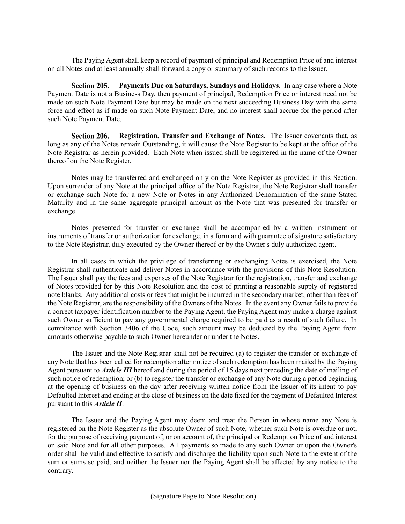The Paying Agent shall keep a record of payment of principal and Redemption Price of and interest on all Notes and at least annually shall forward a copy or summary of such records to the Issuer.

Section 205. **Payments Due on Saturdays, Sundays and Holidays.** In any case where a Note Payment Date is not a Business Day, then payment of principal, Redemption Price or interest need not be made on such Note Payment Date but may be made on the next succeeding Business Day with the same force and effect as if made on such Note Payment Date, and no interest shall accrue for the period after such Note Payment Date.

Section 206. **Registration, Transfer and Exchange of Notes.** The Issuer covenants that, as long as any of the Notes remain Outstanding, it will cause the Note Register to be kept at the office of the Note Registrar as herein provided. Each Note when issued shall be registered in the name of the Owner thereof on the Note Register.

Notes may be transferred and exchanged only on the Note Register as provided in this Section. Upon surrender of any Note at the principal office of the Note Registrar, the Note Registrar shall transfer or exchange such Note for a new Note or Notes in any Authorized Denomination of the same Stated Maturity and in the same aggregate principal amount as the Note that was presented for transfer or exchange.

Notes presented for transfer or exchange shall be accompanied by a written instrument or instruments of transfer or authorization for exchange, in a form and with guarantee of signature satisfactory to the Note Registrar, duly executed by the Owner thereof or by the Owner's duly authorized agent.

In all cases in which the privilege of transferring or exchanging Notes is exercised, the Note Registrar shall authenticate and deliver Notes in accordance with the provisions of this Note Resolution. The Issuer shall pay the fees and expenses of the Note Registrar for the registration, transfer and exchange of Notes provided for by this Note Resolution and the cost of printing a reasonable supply of registered note blanks. Any additional costs or fees that might be incurred in the secondary market, other than fees of the Note Registrar, are the responsibility of the Owners of the Notes. In the event any Owner fails to provide a correct taxpayer identification number to the Paying Agent, the Paying Agent may make a charge against such Owner sufficient to pay any governmental charge required to be paid as a result of such failure. In compliance with Section 3406 of the Code, such amount may be deducted by the Paying Agent from amounts otherwise payable to such Owner hereunder or under the Notes.

The Issuer and the Note Registrar shall not be required (a) to register the transfer or exchange of any Note that has been called for redemption after notice of such redemption has been mailed by the Paying Agent pursuant to *Article III* hereof and during the period of 15 days next preceding the date of mailing of such notice of redemption; or (b) to register the transfer or exchange of any Note during a period beginning at the opening of business on the day after receiving written notice from the Issuer of its intent to pay Defaulted Interest and ending at the close of business on the date fixed for the payment of Defaulted Interest pursuant to this *Article II*.

The Issuer and the Paying Agent may deem and treat the Person in whose name any Note is registered on the Note Register as the absolute Owner of such Note, whether such Note is overdue or not, for the purpose of receiving payment of, or on account of, the principal or Redemption Price of and interest on said Note and for all other purposes. All payments so made to any such Owner or upon the Owner's order shall be valid and effective to satisfy and discharge the liability upon such Note to the extent of the sum or sums so paid, and neither the Issuer nor the Paying Agent shall be affected by any notice to the contrary.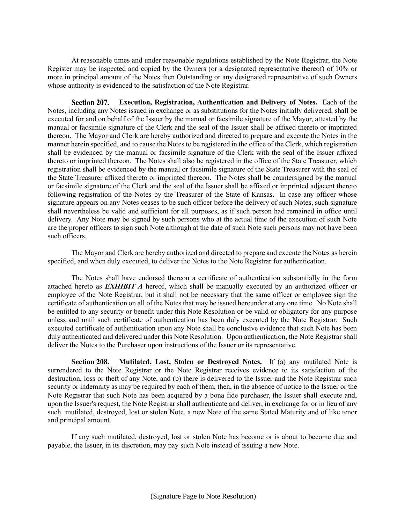At reasonable times and under reasonable regulations established by the Note Registrar, the Note Register may be inspected and copied by the Owners (or a designated representative thereof) of 10% or more in principal amount of the Notes then Outstanding or any designated representative of such Owners whose authority is evidenced to the satisfaction of the Note Registrar.

Section 207. **Execution, Registration, Authentication and Delivery of Notes.** Each of the Notes, including any Notes issued in exchange or as substitutions for the Notes initially delivered, shall be executed for and on behalf of the Issuer by the manual or facsimile signature of the Mayor, attested by the manual or facsimile signature of the Clerk and the seal of the Issuer shall be affixed thereto or imprinted thereon. The Mayor and Clerk are hereby authorized and directed to prepare and execute the Notes in the manner herein specified, and to cause the Notes to be registered in the office of the Clerk, which registration shall be evidenced by the manual or facsimile signature of the Clerk with the seal of the Issuer affixed thereto or imprinted thereon. The Notes shall also be registered in the office of the State Treasurer, which registration shall be evidenced by the manual or facsimile signature of the State Treasurer with the seal of the State Treasurer affixed thereto or imprinted thereon. The Notes shall be countersigned by the manual or facsimile signature of the Clerk and the seal of the Issuer shall be affixed or imprinted adjacent thereto following registration of the Notes by the Treasurer of the State of Kansas. In case any officer whose signature appears on any Notes ceases to be such officer before the delivery of such Notes, such signature shall nevertheless be valid and sufficient for all purposes, as if such person had remained in office until delivery. Any Note may be signed by such persons who at the actual time of the execution of such Note are the proper officers to sign such Note although at the date of such Note such persons may not have been such officers.

The Mayor and Clerk are hereby authorized and directed to prepare and execute the Notes as herein specified, and when duly executed, to deliver the Notes to the Note Registrar for authentication.

The Notes shall have endorsed thereon a certificate of authentication substantially in the form attached hereto as *EXHIBIT A* hereof, which shall be manually executed by an authorized officer or employee of the Note Registrar, but it shall not be necessary that the same officer or employee sign the certificate of authentication on all of the Notes that may be issued hereunder at any one time. No Note shall be entitled to any security or benefit under this Note Resolution or be valid or obligatory for any purpose unless and until such certificate of authentication has been duly executed by the Note Registrar. Such executed certificate of authentication upon any Note shall be conclusive evidence that such Note has been duly authenticated and delivered under this Note Resolution. Upon authentication, the Note Registrar shall deliver the Notes to the Purchaser upon instructions of the Issuer or its representative.

Section 208. **Mutilated, Lost, Stolen or Destroyed Notes.** If (a) any mutilated Note is surrendered to the Note Registrar or the Note Registrar receives evidence to its satisfaction of the destruction, loss or theft of any Note, and (b) there is delivered to the Issuer and the Note Registrar such security or indemnity as may be required by each of them, then, in the absence of notice to the Issuer or the Note Registrar that such Note has been acquired by a bona fide purchaser, the Issuer shall execute and, upon the Issuer's request, the Note Registrar shall authenticate and deliver, in exchange for or in lieu of any such mutilated, destroyed, lost or stolen Note, a new Note of the same Stated Maturity and of like tenor and principal amount.

If any such mutilated, destroyed, lost or stolen Note has become or is about to become due and payable, the Issuer, in its discretion, may pay such Note instead of issuing a new Note.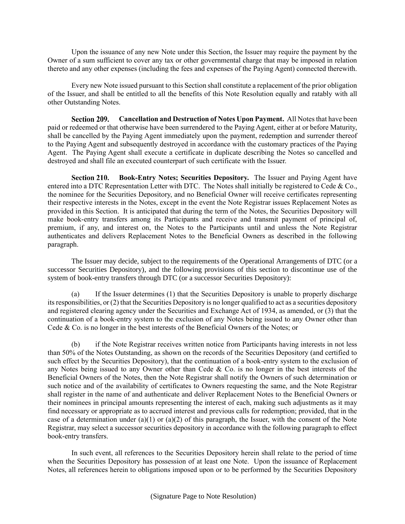Upon the issuance of any new Note under this Section, the Issuer may require the payment by the Owner of a sum sufficient to cover any tax or other governmental charge that may be imposed in relation thereto and any other expenses (including the fees and expenses of the Paying Agent) connected therewith.

Every new Note issued pursuant to this Section shall constitute a replacement of the prior obligation of the Issuer, and shall be entitled to all the benefits of this Note Resolution equally and ratably with all other Outstanding Notes.

Section 209. **Cancellation and Destruction of Notes Upon Payment.** All Notes that have been paid or redeemed or that otherwise have been surrendered to the Paying Agent, either at or before Maturity, shall be cancelled by the Paying Agent immediately upon the payment, redemption and surrender thereof to the Paying Agent and subsequently destroyed in accordance with the customary practices of the Paying Agent. The Paying Agent shall execute a certificate in duplicate describing the Notes so cancelled and destroyed and shall file an executed counterpart of such certificate with the Issuer.

Section 210. **Book-Entry Notes; Securities Depository.** The Issuer and Paying Agent have entered into a DTC Representation Letter with DTC. The Notes shall initially be registered to Cede & Co., the nominee for the Securities Depository, and no Beneficial Owner will receive certificates representing their respective interests in the Notes, except in the event the Note Registrar issues Replacement Notes as provided in this Section. It is anticipated that during the term of the Notes, the Securities Depository will make book-entry transfers among its Participants and receive and transmit payment of principal of, premium, if any, and interest on, the Notes to the Participants until and unless the Note Registrar authenticates and delivers Replacement Notes to the Beneficial Owners as described in the following paragraph.

The Issuer may decide, subject to the requirements of the Operational Arrangements of DTC (or a successor Securities Depository), and the following provisions of this section to discontinue use of the system of book-entry transfers through DTC (or a successor Securities Depository):

(a) If the Issuer determines (1) that the Securities Depository is unable to properly discharge its responsibilities, or (2) that the Securities Depository is no longer qualified to act as a securities depository and registered clearing agency under the Securities and Exchange Act of 1934, as amended, or (3) that the continuation of a book-entry system to the exclusion of any Notes being issued to any Owner other than Cede & Co. is no longer in the best interests of the Beneficial Owners of the Notes; or

if the Note Registrar receives written notice from Participants having interests in not less than 50% of the Notes Outstanding, as shown on the records of the Securities Depository (and certified to such effect by the Securities Depository), that the continuation of a book-entry system to the exclusion of any Notes being issued to any Owner other than Cede & Co. is no longer in the best interests of the Beneficial Owners of the Notes, then the Note Registrar shall notify the Owners of such determination or such notice and of the availability of certificates to Owners requesting the same, and the Note Registrar shall register in the name of and authenticate and deliver Replacement Notes to the Beneficial Owners or their nominees in principal amounts representing the interest of each, making such adjustments as it may find necessary or appropriate as to accrued interest and previous calls for redemption; provided, that in the case of a determination under (a)(1) or (a)(2) of this paragraph, the Issuer, with the consent of the Note Registrar, may select a successor securities depository in accordance with the following paragraph to effect book-entry transfers.

In such event, all references to the Securities Depository herein shall relate to the period of time when the Securities Depository has possession of at least one Note. Upon the issuance of Replacement Notes, all references herein to obligations imposed upon or to be performed by the Securities Depository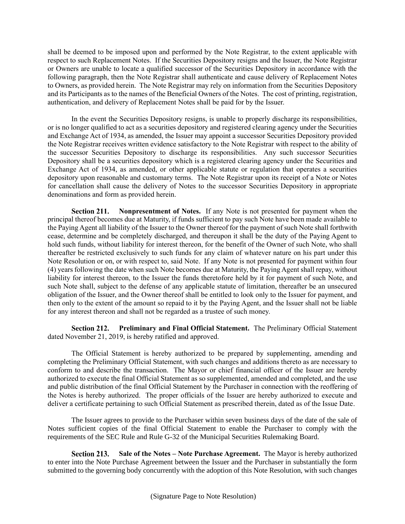shall be deemed to be imposed upon and performed by the Note Registrar, to the extent applicable with respect to such Replacement Notes. If the Securities Depository resigns and the Issuer, the Note Registrar or Owners are unable to locate a qualified successor of the Securities Depository in accordance with the following paragraph, then the Note Registrar shall authenticate and cause delivery of Replacement Notes to Owners, as provided herein. The Note Registrar may rely on information from the Securities Depository and its Participants as to the names of the Beneficial Owners of the Notes. The cost of printing, registration, authentication, and delivery of Replacement Notes shall be paid for by the Issuer.

In the event the Securities Depository resigns, is unable to properly discharge its responsibilities, or is no longer qualified to act as a securities depository and registered clearing agency under the Securities and Exchange Act of 1934, as amended, the Issuer may appoint a successor Securities Depository provided the Note Registrar receives written evidence satisfactory to the Note Registrar with respect to the ability of the successor Securities Depository to discharge its responsibilities. Any such successor Securities Depository shall be a securities depository which is a registered clearing agency under the Securities and Exchange Act of 1934, as amended, or other applicable statute or regulation that operates a securities depository upon reasonable and customary terms. The Note Registrar upon its receipt of a Note or Notes for cancellation shall cause the delivery of Notes to the successor Securities Depository in appropriate denominations and form as provided herein.

Section 211. **Nonpresentment of Notes.** If any Note is not presented for payment when the principal thereof becomes due at Maturity, if funds sufficient to pay such Note have been made available to the Paying Agent all liability of the Issuer to the Owner thereof for the payment of such Note shall forthwith cease, determine and be completely discharged, and thereupon it shall be the duty of the Paying Agent to hold such funds, without liability for interest thereon, for the benefit of the Owner of such Note, who shall thereafter be restricted exclusively to such funds for any claim of whatever nature on his part under this Note Resolution or on, or with respect to, said Note. If any Note is not presented for payment within four (4) years following the date when such Note becomes due at Maturity, the Paying Agent shall repay, without liability for interest thereon, to the Issuer the funds theretofore held by it for payment of such Note, and such Note shall, subject to the defense of any applicable statute of limitation, thereafter be an unsecured obligation of the Issuer, and the Owner thereof shall be entitled to look only to the Issuer for payment, and then only to the extent of the amount so repaid to it by the Paying Agent, and the Issuer shall not be liable for any interest thereon and shall not be regarded as a trustee of such money.

**Preliminary and Final Official Statement.** The Preliminary Official Statement dated November 21, 2019, is hereby ratified and approved.

The Official Statement is hereby authorized to be prepared by supplementing, amending and completing the Preliminary Official Statement, with such changes and additions thereto as are necessary to conform to and describe the transaction. The Mayor or chief financial officer of the Issuer are hereby authorized to execute the final Official Statement as so supplemented, amended and completed, and the use and public distribution of the final Official Statement by the Purchaser in connection with the reoffering of the Notes is hereby authorized. The proper officials of the Issuer are hereby authorized to execute and deliver a certificate pertaining to such Official Statement as prescribed therein, dated as of the Issue Date.

The Issuer agrees to provide to the Purchaser within seven business days of the date of the sale of Notes sufficient copies of the final Official Statement to enable the Purchaser to comply with the requirements of the SEC Rule and Rule G-32 of the Municipal Securities Rulemaking Board.

**Section 213.** Sale of the Notes – Note Purchase Agreement. The Mayor is hereby authorized to enter into the Note Purchase Agreement between the Issuer and the Purchaser in substantially the form submitted to the governing body concurrently with the adoption of this Note Resolution, with such changes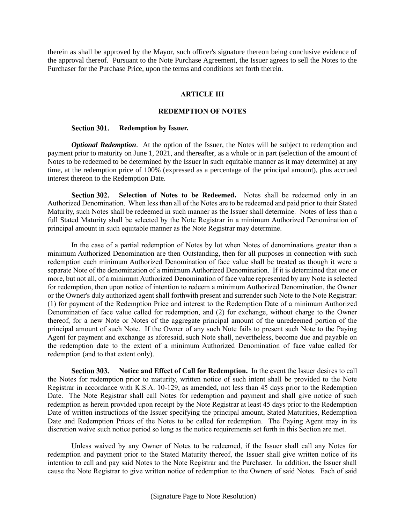therein as shall be approved by the Mayor, such officer's signature thereon being conclusive evidence of the approval thereof. Pursuant to the Note Purchase Agreement, the Issuer agrees to sell the Notes to the Purchaser for the Purchase Price, upon the terms and conditions set forth therein.

#### **ARTICLE III**

#### **REDEMPTION OF NOTES**

#### Section 301. **Redemption by Issuer.**

*Optional Redemption.* At the option of the Issuer, the Notes will be subject to redemption and payment prior to maturity on June 1, 2021, and thereafter, as a whole or in part (selection of the amount of Notes to be redeemed to be determined by the Issuer in such equitable manner as it may determine) at any time, at the redemption price of 100% (expressed as a percentage of the principal amount), plus accrued interest thereon to the Redemption Date.

**Selection of Notes to be Redeemed.** Notes shall be redeemed only in an Section 302. Authorized Denomination. When less than all of the Notes are to be redeemed and paid prior to their Stated Maturity, such Notes shall be redeemed in such manner as the Issuer shall determine. Notes of less than a full Stated Maturity shall be selected by the Note Registrar in a minimum Authorized Denomination of principal amount in such equitable manner as the Note Registrar may determine.

In the case of a partial redemption of Notes by lot when Notes of denominations greater than a minimum Authorized Denomination are then Outstanding, then for all purposes in connection with such redemption each minimum Authorized Denomination of face value shall be treated as though it were a separate Note of the denomination of a minimum Authorized Denomination. If it is determined that one or more, but not all, of a minimum Authorized Denomination of face value represented by any Note is selected for redemption, then upon notice of intention to redeem a minimum Authorized Denomination, the Owner or the Owner's duly authorized agent shall forthwith present and surrender such Note to the Note Registrar: (1) for payment of the Redemption Price and interest to the Redemption Date of a minimum Authorized Denomination of face value called for redemption, and (2) for exchange, without charge to the Owner thereof, for a new Note or Notes of the aggregate principal amount of the unredeemed portion of the principal amount of such Note. If the Owner of any such Note fails to present such Note to the Paying Agent for payment and exchange as aforesaid, such Note shall, nevertheless, become due and payable on the redemption date to the extent of a minimum Authorized Denomination of face value called for redemption (and to that extent only).

**Notice and Effect of Call for Redemption.** In the event the Issuer desires to call Section 303. the Notes for redemption prior to maturity, written notice of such intent shall be provided to the Note Registrar in accordance with K.S.A. 10-129, as amended, not less than 45 days prior to the Redemption Date. The Note Registrar shall call Notes for redemption and payment and shall give notice of such redemption as herein provided upon receipt by the Note Registrar at least 45 days prior to the Redemption Date of written instructions of the Issuer specifying the principal amount, Stated Maturities, Redemption Date and Redemption Prices of the Notes to be called for redemption. The Paying Agent may in its discretion waive such notice period so long as the notice requirements set forth in this Section are met.

Unless waived by any Owner of Notes to be redeemed, if the Issuer shall call any Notes for redemption and payment prior to the Stated Maturity thereof, the Issuer shall give written notice of its intention to call and pay said Notes to the Note Registrar and the Purchaser. In addition, the Issuer shall cause the Note Registrar to give written notice of redemption to the Owners of said Notes. Each of said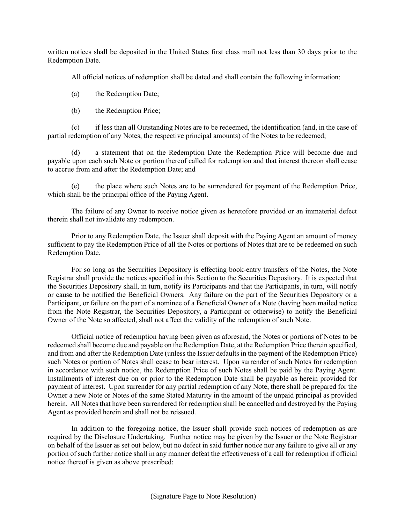written notices shall be deposited in the United States first class mail not less than 30 days prior to the Redemption Date.

All official notices of redemption shall be dated and shall contain the following information:

(a) the Redemption Date;

(b) the Redemption Price;

(c) if less than all Outstanding Notes are to be redeemed, the identification (and, in the case of partial redemption of any Notes, the respective principal amounts) of the Notes to be redeemed;

(d) a statement that on the Redemption Date the Redemption Price will become due and payable upon each such Note or portion thereof called for redemption and that interest thereon shall cease to accrue from and after the Redemption Date; and

(e) the place where such Notes are to be surrendered for payment of the Redemption Price, which shall be the principal office of the Paying Agent.

The failure of any Owner to receive notice given as heretofore provided or an immaterial defect therein shall not invalidate any redemption.

Prior to any Redemption Date, the Issuer shall deposit with the Paying Agent an amount of money sufficient to pay the Redemption Price of all the Notes or portions of Notes that are to be redeemed on such Redemption Date.

For so long as the Securities Depository is effecting book-entry transfers of the Notes, the Note Registrar shall provide the notices specified in this Section to the Securities Depository. It is expected that the Securities Depository shall, in turn, notify its Participants and that the Participants, in turn, will notify or cause to be notified the Beneficial Owners. Any failure on the part of the Securities Depository or a Participant, or failure on the part of a nominee of a Beneficial Owner of a Note (having been mailed notice from the Note Registrar, the Securities Depository, a Participant or otherwise) to notify the Beneficial Owner of the Note so affected, shall not affect the validity of the redemption of such Note.

Official notice of redemption having been given as aforesaid, the Notes or portions of Notes to be redeemed shall become due and payable on the Redemption Date, at the Redemption Price therein specified, and from and after the Redemption Date (unless the Issuer defaults in the payment of the Redemption Price) such Notes or portion of Notes shall cease to bear interest. Upon surrender of such Notes for redemption in accordance with such notice, the Redemption Price of such Notes shall be paid by the Paying Agent. Installments of interest due on or prior to the Redemption Date shall be payable as herein provided for payment of interest. Upon surrender for any partial redemption of any Note, there shall be prepared for the Owner a new Note or Notes of the same Stated Maturity in the amount of the unpaid principal as provided herein. All Notes that have been surrendered for redemption shall be cancelled and destroyed by the Paying Agent as provided herein and shall not be reissued.

In addition to the foregoing notice, the Issuer shall provide such notices of redemption as are required by the Disclosure Undertaking. Further notice may be given by the Issuer or the Note Registrar on behalf of the Issuer as set out below, but no defect in said further notice nor any failure to give all or any portion of such further notice shall in any manner defeat the effectiveness of a call for redemption if official notice thereof is given as above prescribed: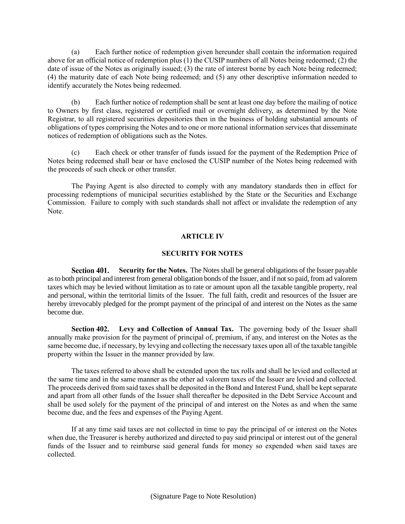(a) Each further notice of redemption given hereunder shall contain the information required above for an official notice of redemption plus (1) the CUSIP numbers of all Notes being redeemed; (2) the date of issue of the Notes as originally issued; (3) the rate of interest borne by each Note being redeemed; (4) the maturity date of each Note being redeemed; and (5) any other descriptive information needed to identify accurately the Notes being redeemed.

(b) Each further notice of redemption shall be sent at least one day before the mailing of notice to Owners by first class, registered or certified mail or overnight delivery, as determined by the Note Registrar, to all registered securities depositories then in the business of holding substantial amounts of obligations of types comprising the Notes and to one or more national information services that disseminate notices of redemption of obligations such as the Notes.

(c) Each check or other transfer of funds issued for the payment of the Redemption Price of Notes being redeemed shall bear or have enclosed the CUSIP number of the Notes being redeemed with the proceeds of such check or other transfer.

The Paying Agent is also directed to comply with any mandatory standards then in effect for processing redemptions of municipal securities established by the State or the Securities and Exchange Commission. Failure to comply with such standards shall not affect or invalidate the redemption of any Note.

# **ARTICLE IV**

## **SECURITY FOR NOTES**

Section 401. **Security for the Notes.** The Notes shall be general obligations of the Issuer payable as to both principal and interest from general obligation bonds of the Issuer, and if not so paid, from ad valorem taxes which may be levied without limitation as to rate or amount upon all the taxable tangible property, real and personal, within the territorial limits of the Issuer. The full faith, credit and resources of the Issuer are hereby irrevocably pledged for the prompt payment of the principal of and interest on the Notes as the same become due.

**Levy and Collection of Annual Tax.** The governing body of the Issuer shall Section 402. annually make provision for the payment of principal of, premium, if any, and interest on the Notes as the same become due, if necessary, by levying and collecting the necessary taxes upon all of the taxable tangible property within the Issuer in the manner provided by law.

The taxes referred to above shall be extended upon the tax rolls and shall be levied and collected at the same time and in the same manner as the other ad valorem taxes of the Issuer are levied and collected. The proceeds derived from said taxes shall be deposited in the Bond and Interest Fund, shall be kept separate and apart from all other funds of the Issuer shall thereafter be deposited in the Debt Service Account and shall be used solely for the payment of the principal of and interest on the Notes as and when the same become due, and the fees and expenses of the Paying Agent.

If at any time said taxes are not collected in time to pay the principal of or interest on the Notes when due, the Treasurer is hereby authorized and directed to pay said principal or interest out of the general funds of the Issuer and to reimburse said general funds for money so expended when said taxes are collected.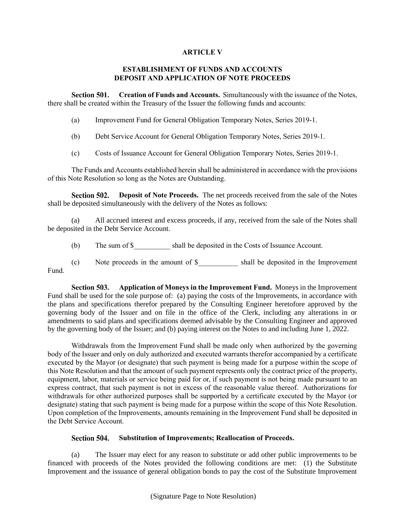# **ARTICLE V**

# **ESTABLISHMENT OF FUNDS AND ACCOUNTS DEPOSIT AND APPLICATION OF NOTE PROCEEDS**

Section 501. **Creation of Funds and Accounts.** Simultaneously with the issuance of the Notes, there shall be created within the Treasury of the Issuer the following funds and accounts:

- (a) Improvement Fund for General Obligation Temporary Notes, Series 2019-1.
- (b) Debt Service Account for General Obligation Temporary Notes, Series 2019-1.
- (c) Costs of Issuance Account for General Obligation Temporary Notes, Series 2019-1.

The Funds and Accounts established herein shall be administered in accordance with the provisions of this Note Resolution so long as the Notes are Outstanding.

Section 502. **Deposit of Note Proceeds.** The net proceeds received from the sale of the Notes shall be deposited simultaneously with the delivery of the Notes as follows:

(a) All accrued interest and excess proceeds, if any, received from the sale of the Notes shall be deposited in the Debt Service Account.

(b) The sum of \$ shall be deposited in the Costs of Issuance Account.

(c) Note proceeds in the amount of \$\_\_\_\_\_\_\_\_\_\_\_ shall be deposited in the Improvement Fund.

Section 503. **Application of Moneys in the Improvement Fund.** Moneys in the Improvement Fund shall be used for the sole purpose of: (a) paying the costs of the Improvements, in accordance with the plans and specifications therefor prepared by the Consulting Engineer heretofore approved by the governing body of the Issuer and on file in the office of the Clerk, including any alterations in or amendments to said plans and specifications deemed advisable by the Consulting Engineer and approved by the governing body of the Issuer; and (b) paying interest on the Notes to and including June 1, 2022.

Withdrawals from the Improvement Fund shall be made only when authorized by the governing body of the Issuer and only on duly authorized and executed warrants therefor accompanied by a certificate executed by the Mayor (or designate) that such payment is being made for a purpose within the scope of this Note Resolution and that the amount of such payment represents only the contract price of the property, equipment, labor, materials or service being paid for or, if such payment is not being made pursuant to an express contract, that such payment is not in excess of the reasonable value thereof. Authorizations for withdrawals for other authorized purposes shall be supported by a certificate executed by the Mayor (or designate) stating that such payment is being made for a purpose within the scope of this Note Resolution. Upon completion of the Improvements, amounts remaining in the Improvement Fund shall be deposited in the Debt Service Account.

#### Section 504. **Substitution of Improvements; Reallocation of Proceeds.**

(a) The Issuer may elect for any reason to substitute or add other public improvements to be financed with proceeds of the Notes provided the following conditions are met: (1) the Substitute Improvement and the issuance of general obligation bonds to pay the cost of the Substitute Improvement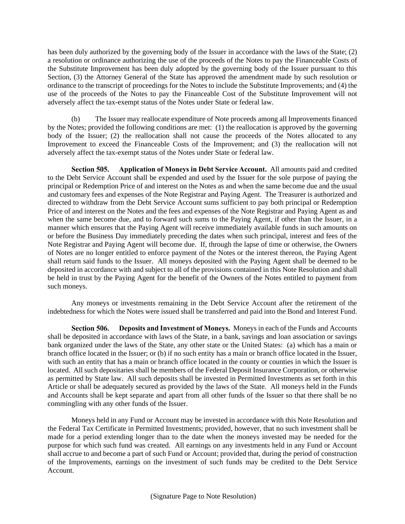has been duly authorized by the governing body of the Issuer in accordance with the laws of the State; (2) a resolution or ordinance authorizing the use of the proceeds of the Notes to pay the Financeable Costs of the Substitute Improvement has been duly adopted by the governing body of the Issuer pursuant to this Section, (3) the Attorney General of the State has approved the amendment made by such resolution or ordinance to the transcript of proceedings for the Notes to include the Substitute Improvements; and (4) the use of the proceeds of the Notes to pay the Financeable Cost of the Substitute Improvement will not adversely affect the tax-exempt status of the Notes under State or federal law.

(b) The Issuer may reallocate expenditure of Note proceeds among all Improvements financed by the Notes; provided the following conditions are met: (1) the reallocation is approved by the governing body of the Issuer; (2) the reallocation shall not cause the proceeds of the Notes allocated to any Improvement to exceed the Financeable Costs of the Improvement; and (3) the reallocation will not adversely affect the tax-exempt status of the Notes under State or federal law.

Section 505. **Application of Moneys in Debt Service Account.** All amounts paid and credited to the Debt Service Account shall be expended and used by the Issuer for the sole purpose of paying the principal or Redemption Price of and interest on the Notes as and when the same become due and the usual and customary fees and expenses of the Note Registrar and Paying Agent. The Treasurer is authorized and directed to withdraw from the Debt Service Account sums sufficient to pay both principal or Redemption Price of and interest on the Notes and the fees and expenses of the Note Registrar and Paying Agent as and when the same become due, and to forward such sums to the Paying Agent, if other than the Issuer, in a manner which ensures that the Paying Agent will receive immediately available funds in such amounts on or before the Business Day immediately preceding the dates when such principal, interest and fees of the Note Registrar and Paying Agent will become due. If, through the lapse of time or otherwise, the Owners of Notes are no longer entitled to enforce payment of the Notes or the interest thereon, the Paying Agent shall return said funds to the Issuer. All moneys deposited with the Paying Agent shall be deemed to be deposited in accordance with and subject to all of the provisions contained in this Note Resolution and shall be held in trust by the Paying Agent for the benefit of the Owners of the Notes entitled to payment from such moneys.

Any moneys or investments remaining in the Debt Service Account after the retirement of the indebtedness for which the Notes were issued shall be transferred and paid into the Bond and Interest Fund.

Section 506. **Deposits and Investment of Moneys.** Moneys in each of the Funds and Accounts shall be deposited in accordance with laws of the State, in a bank, savings and loan association or savings bank organized under the laws of the State, any other state or the United States: (a) which has a main or branch office located in the Issuer; or (b) if no such entity has a main or branch office located in the Issuer, with such an entity that has a main or branch office located in the county or counties in which the Issuer is located. All such depositaries shall be members of the Federal Deposit Insurance Corporation, or otherwise as permitted by State law. All such deposits shall be invested in Permitted Investments as set forth in this Article or shall be adequately secured as provided by the laws of the State. All moneys held in the Funds and Accounts shall be kept separate and apart from all other funds of the Issuer so that there shall be no commingling with any other funds of the Issuer.

Moneys held in any Fund or Account may be invested in accordance with this Note Resolution and the Federal Tax Certificate in Permitted Investments; provided, however, that no such investment shall be made for a period extending longer than to the date when the moneys invested may be needed for the purpose for which such fund was created. All earnings on any investments held in any Fund or Account shall accrue to and become a part of such Fund or Account; provided that, during the period of construction of the Improvements, earnings on the investment of such funds may be credited to the Debt Service Account.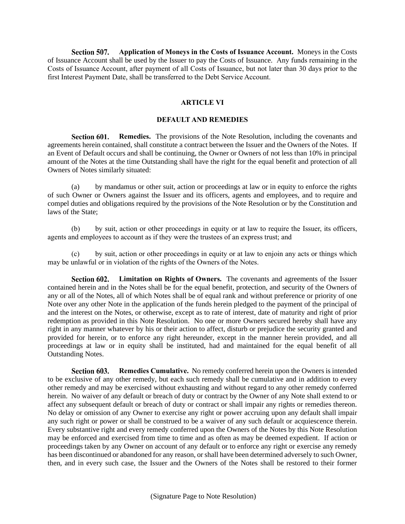Section 507. **Application of Moneys in the Costs of Issuance Account.** Moneys in the Costs of Issuance Account shall be used by the Issuer to pay the Costs of Issuance. Any funds remaining in the Costs of Issuance Account, after payment of all Costs of Issuance, but not later than 30 days prior to the first Interest Payment Date, shall be transferred to the Debt Service Account.

# **ARTICLE VI**

## **DEFAULT AND REMEDIES**

Section 601. **Remedies.** The provisions of the Note Resolution, including the covenants and agreements herein contained, shall constitute a contract between the Issuer and the Owners of the Notes. If an Event of Default occurs and shall be continuing, the Owner or Owners of not less than 10% in principal amount of the Notes at the time Outstanding shall have the right for the equal benefit and protection of all Owners of Notes similarly situated:

(a) by mandamus or other suit, action or proceedings at law or in equity to enforce the rights of such Owner or Owners against the Issuer and its officers, agents and employees, and to require and compel duties and obligations required by the provisions of the Note Resolution or by the Constitution and laws of the State;

(b) by suit, action or other proceedings in equity or at law to require the Issuer, its officers, agents and employees to account as if they were the trustees of an express trust; and

(c) by suit, action or other proceedings in equity or at law to enjoin any acts or things which may be unlawful or in violation of the rights of the Owners of the Notes.

**Limitation on Rights of Owners.** The covenants and agreements of the Issuer Section 602. contained herein and in the Notes shall be for the equal benefit, protection, and security of the Owners of any or all of the Notes, all of which Notes shall be of equal rank and without preference or priority of one Note over any other Note in the application of the funds herein pledged to the payment of the principal of and the interest on the Notes, or otherwise, except as to rate of interest, date of maturity and right of prior redemption as provided in this Note Resolution. No one or more Owners secured hereby shall have any right in any manner whatever by his or their action to affect, disturb or prejudice the security granted and provided for herein, or to enforce any right hereunder, except in the manner herein provided, and all proceedings at law or in equity shall be instituted, had and maintained for the equal benefit of all Outstanding Notes.

Section 603. **Remedies Cumulative.** No remedy conferred herein upon the Owners is intended to be exclusive of any other remedy, but each such remedy shall be cumulative and in addition to every other remedy and may be exercised without exhausting and without regard to any other remedy conferred herein. No waiver of any default or breach of duty or contract by the Owner of any Note shall extend to or affect any subsequent default or breach of duty or contract or shall impair any rights or remedies thereon. No delay or omission of any Owner to exercise any right or power accruing upon any default shall impair any such right or power or shall be construed to be a waiver of any such default or acquiescence therein. Every substantive right and every remedy conferred upon the Owners of the Notes by this Note Resolution may be enforced and exercised from time to time and as often as may be deemed expedient. If action or proceedings taken by any Owner on account of any default or to enforce any right or exercise any remedy has been discontinued or abandoned for any reason, or shall have been determined adversely to such Owner, then, and in every such case, the Issuer and the Owners of the Notes shall be restored to their former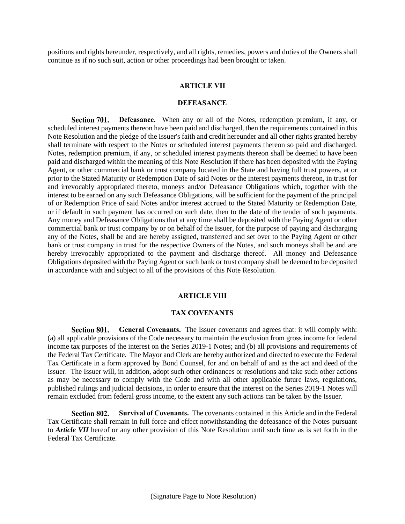positions and rights hereunder, respectively, and all rights, remedies, powers and duties of the Owners shall continue as if no such suit, action or other proceedings had been brought or taken.

#### **ARTICLE VII**

#### **DEFEASANCE**

Section 701. **Defeasance.** When any or all of the Notes, redemption premium, if any, or scheduled interest payments thereon have been paid and discharged, then the requirements contained in this Note Resolution and the pledge of the Issuer's faith and credit hereunder and all other rights granted hereby shall terminate with respect to the Notes or scheduled interest payments thereon so paid and discharged. Notes, redemption premium, if any, or scheduled interest payments thereon shall be deemed to have been paid and discharged within the meaning of this Note Resolution if there has been deposited with the Paying Agent, or other commercial bank or trust company located in the State and having full trust powers, at or prior to the Stated Maturity or Redemption Date of said Notes or the interest payments thereon, in trust for and irrevocably appropriated thereto, moneys and/or Defeasance Obligations which, together with the interest to be earned on any such Defeasance Obligations, will be sufficient for the payment of the principal of or Redemption Price of said Notes and/or interest accrued to the Stated Maturity or Redemption Date, or if default in such payment has occurred on such date, then to the date of the tender of such payments. Any money and Defeasance Obligations that at any time shall be deposited with the Paying Agent or other commercial bank or trust company by or on behalf of the Issuer, for the purpose of paying and discharging any of the Notes, shall be and are hereby assigned, transferred and set over to the Paying Agent or other bank or trust company in trust for the respective Owners of the Notes, and such moneys shall be and are hereby irrevocably appropriated to the payment and discharge thereof. All money and Defeasance Obligations deposited with the Paying Agent or such bank or trust company shall be deemed to be deposited in accordance with and subject to all of the provisions of this Note Resolution.

## **ARTICLE VIII**

#### **TAX COVENANTS**

Section 801. **General Covenants.** The Issuer covenants and agrees that: it will comply with: (a) all applicable provisions of the Code necessary to maintain the exclusion from gross income for federal income tax purposes of the interest on the Series 2019-1 Notes; and (b) all provisions and requirements of the Federal Tax Certificate. The Mayor and Clerk are hereby authorized and directed to execute the Federal Tax Certificate in a form approved by Bond Counsel, for and on behalf of and as the act and deed of the Issuer. The Issuer will, in addition, adopt such other ordinances or resolutions and take such other actions as may be necessary to comply with the Code and with all other applicable future laws, regulations, published rulings and judicial decisions, in order to ensure that the interest on the Series 2019-1 Notes will remain excluded from federal gross income, to the extent any such actions can be taken by the Issuer.

Section 802. **Survival of Covenants.** The covenants contained in this Article and in the Federal Tax Certificate shall remain in full force and effect notwithstanding the defeasance of the Notes pursuant to *Article VII* hereof or any other provision of this Note Resolution until such time as is set forth in the Federal Tax Certificate.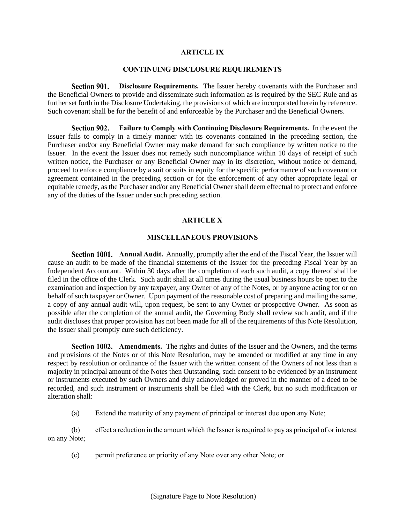#### **ARTICLE IX**

# **CONTINUING DISCLOSURE REQUIREMENTS**

Section 901. **Disclosure Requirements.** The Issuer hereby covenants with the Purchaser and the Beneficial Owners to provide and disseminate such information as is required by the SEC Rule and as further set forth in the Disclosure Undertaking, the provisions of which are incorporated herein by reference. Such covenant shall be for the benefit of and enforceable by the Purchaser and the Beneficial Owners.

**Failure to Comply with Continuing Disclosure Requirements.** In the event the Section 902. Issuer fails to comply in a timely manner with its covenants contained in the preceding section, the Purchaser and/or any Beneficial Owner may make demand for such compliance by written notice to the Issuer. In the event the Issuer does not remedy such noncompliance within 10 days of receipt of such written notice, the Purchaser or any Beneficial Owner may in its discretion, without notice or demand, proceed to enforce compliance by a suit or suits in equity for the specific performance of such covenant or agreement contained in the preceding section or for the enforcement of any other appropriate legal or equitable remedy, as the Purchaser and/or any Beneficial Owner shall deem effectual to protect and enforce any of the duties of the Issuer under such preceding section.

## **ARTICLE X**

#### **MISCELLANEOUS PROVISIONS**

**Section 1001.** Annual Audit. Annually, promptly after the end of the Fiscal Year, the Issuer will cause an audit to be made of the financial statements of the Issuer for the preceding Fiscal Year by an Independent Accountant. Within 30 days after the completion of each such audit, a copy thereof shall be filed in the office of the Clerk. Such audit shall at all times during the usual business hours be open to the examination and inspection by any taxpayer, any Owner of any of the Notes, or by anyone acting for or on behalf of such taxpayer or Owner. Upon payment of the reasonable cost of preparing and mailing the same, a copy of any annual audit will, upon request, be sent to any Owner or prospective Owner. As soon as possible after the completion of the annual audit, the Governing Body shall review such audit, and if the audit discloses that proper provision has not been made for all of the requirements of this Note Resolution, the Issuer shall promptly cure such deficiency.

**Section 1002.** Amendments. The rights and duties of the Issuer and the Owners, and the terms and provisions of the Notes or of this Note Resolution, may be amended or modified at any time in any respect by resolution or ordinance of the Issuer with the written consent of the Owners of not less than a majority in principal amount of the Notes then Outstanding, such consent to be evidenced by an instrument or instruments executed by such Owners and duly acknowledged or proved in the manner of a deed to be recorded, and such instrument or instruments shall be filed with the Clerk, but no such modification or alteration shall:

(a) Extend the maturity of any payment of principal or interest due upon any Note;

(b) effect a reduction in the amount which the Issuer is required to pay as principal of or interest on any Note;

(c) permit preference or priority of any Note over any other Note; or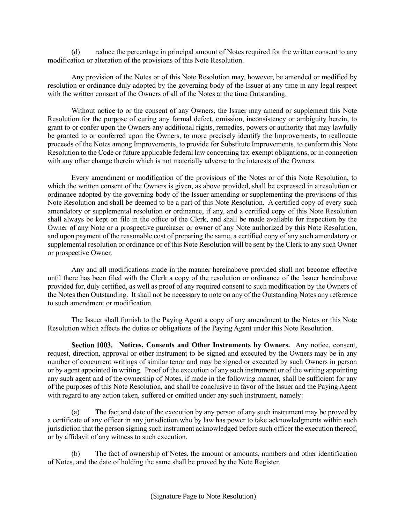reduce the percentage in principal amount of Notes required for the written consent to any modification or alteration of the provisions of this Note Resolution.

Any provision of the Notes or of this Note Resolution may, however, be amended or modified by resolution or ordinance duly adopted by the governing body of the Issuer at any time in any legal respect with the written consent of the Owners of all of the Notes at the time Outstanding.

Without notice to or the consent of any Owners, the Issuer may amend or supplement this Note Resolution for the purpose of curing any formal defect, omission, inconsistency or ambiguity herein, to grant to or confer upon the Owners any additional rights, remedies, powers or authority that may lawfully be granted to or conferred upon the Owners, to more precisely identify the Improvements, to reallocate proceeds of the Notes among Improvements, to provide for Substitute Improvements, to conform this Note Resolution to the Code or future applicable federal law concerning tax-exempt obligations, or in connection with any other change therein which is not materially adverse to the interests of the Owners.

Every amendment or modification of the provisions of the Notes or of this Note Resolution, to which the written consent of the Owners is given, as above provided, shall be expressed in a resolution or ordinance adopted by the governing body of the Issuer amending or supplementing the provisions of this Note Resolution and shall be deemed to be a part of this Note Resolution. A certified copy of every such amendatory or supplemental resolution or ordinance, if any, and a certified copy of this Note Resolution shall always be kept on file in the office of the Clerk, and shall be made available for inspection by the Owner of any Note or a prospective purchaser or owner of any Note authorized by this Note Resolution, and upon payment of the reasonable cost of preparing the same, a certified copy of any such amendatory or supplemental resolution or ordinance or of this Note Resolution will be sent by the Clerk to any such Owner or prospective Owner.

Any and all modifications made in the manner hereinabove provided shall not become effective until there has been filed with the Clerk a copy of the resolution or ordinance of the Issuer hereinabove provided for, duly certified, as well as proof of any required consent to such modification by the Owners of the Notes then Outstanding. It shall not be necessary to note on any of the Outstanding Notes any reference to such amendment or modification.

The Issuer shall furnish to the Paying Agent a copy of any amendment to the Notes or this Note Resolution which affects the duties or obligations of the Paying Agent under this Note Resolution.

**Section 1003.** Notices, Consents and Other Instruments by Owners. Any notice, consent, request, direction, approval or other instrument to be signed and executed by the Owners may be in any number of concurrent writings of similar tenor and may be signed or executed by such Owners in person or by agent appointed in writing. Proof of the execution of any such instrument or of the writing appointing any such agent and of the ownership of Notes, if made in the following manner, shall be sufficient for any of the purposes of this Note Resolution, and shall be conclusive in favor of the Issuer and the Paying Agent with regard to any action taken, suffered or omitted under any such instrument, namely:

(a) The fact and date of the execution by any person of any such instrument may be proved by a certificate of any officer in any jurisdiction who by law has power to take acknowledgments within such jurisdiction that the person signing such instrument acknowledged before such officer the execution thereof, or by affidavit of any witness to such execution.

(b) The fact of ownership of Notes, the amount or amounts, numbers and other identification of Notes, and the date of holding the same shall be proved by the Note Register.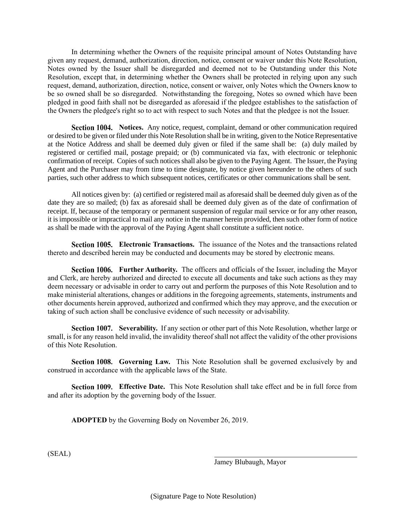In determining whether the Owners of the requisite principal amount of Notes Outstanding have given any request, demand, authorization, direction, notice, consent or waiver under this Note Resolution, Notes owned by the Issuer shall be disregarded and deemed not to be Outstanding under this Note Resolution, except that, in determining whether the Owners shall be protected in relying upon any such request, demand, authorization, direction, notice, consent or waiver, only Notes which the Owners know to be so owned shall be so disregarded. Notwithstanding the foregoing, Notes so owned which have been pledged in good faith shall not be disregarded as aforesaid if the pledgee establishes to the satisfaction of the Owners the pledgee's right so to act with respect to such Notes and that the pledgee is not the Issuer.

**Section 1004.** Notices. Any notice, request, complaint, demand or other communication required or desired to be given or filed under this Note Resolution shall be in writing, given to the Notice Representative at the Notice Address and shall be deemed duly given or filed if the same shall be: (a) duly mailed by registered or certified mail, postage prepaid; or (b) communicated via fax, with electronic or telephonic confirmation of receipt. Copies of such notices shall also be given to the Paying Agent. The Issuer, the Paying Agent and the Purchaser may from time to time designate, by notice given hereunder to the others of such parties, such other address to which subsequent notices, certificates or other communications shall be sent.

All notices given by: (a) certified or registered mail as aforesaid shall be deemed duly given as of the date they are so mailed; (b) fax as aforesaid shall be deemed duly given as of the date of confirmation of receipt. If, because of the temporary or permanent suspension of regular mail service or for any other reason, it is impossible or impractical to mail any notice in the manner herein provided, then such other form of notice as shall be made with the approval of the Paying Agent shall constitute a sufficient notice.

**Section 1005. Electronic Transactions.** The issuance of the Notes and the transactions related thereto and described herein may be conducted and documents may be stored by electronic means.

**Section 1006.** Further Authority. The officers and officials of the Issuer, including the Mayor and Clerk, are hereby authorized and directed to execute all documents and take such actions as they may deem necessary or advisable in order to carry out and perform the purposes of this Note Resolution and to make ministerial alterations, changes or additions in the foregoing agreements, statements, instruments and other documents herein approved, authorized and confirmed which they may approve, and the execution or taking of such action shall be conclusive evidence of such necessity or advisability.

**Section 1007.** Severability. If any section or other part of this Note Resolution, whether large or small, is for any reason held invalid, the invalidity thereof shall not affect the validity of the other provisions of this Note Resolution.

**Section 1008.** Governing Law. This Note Resolution shall be governed exclusively by and construed in accordance with the applicable laws of the State.

**Section 1009.** Effective Date. This Note Resolution shall take effect and be in full force from and after its adoption by the governing body of the Issuer.

**ADOPTED** by the Governing Body on November 26, 2019.

(SEAL)

Jamey Blubaugh, Mayor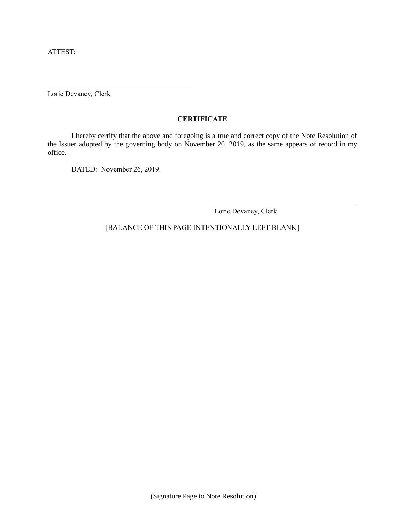ATTEST:

Lorie Devaney, Clerk

# **CERTIFICATE**

I hereby certify that the above and foregoing is a true and correct copy of the Note Resolution of the Issuer adopted by the governing body on November 26, 2019, as the same appears of record in my office.

DATED: November 26, 2019.

Lorie Devaney, Clerk

[BALANCE OF THIS PAGE INTENTIONALLY LEFT BLANK]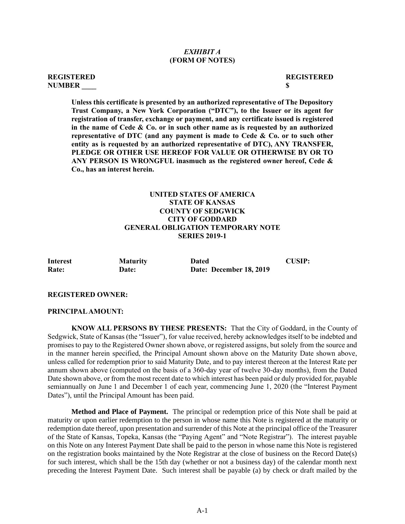## *EXHIBIT A* **(FORM OF NOTES)**

## **REGISTERED REGISTERED NUMBER \_\_\_\_ \$**

**Unless this certificate is presented by an authorized representative of The Depository Trust Company, a New York Corporation ("DTC"), to the Issuer or its agent for registration of transfer, exchange or payment, and any certificate issued is registered in the name of Cede & Co. or in such other name as is requested by an authorized representative of DTC (and any payment is made to Cede & Co. or to such other entity as is requested by an authorized representative of DTC), ANY TRANSFER, PLEDGE OR OTHER USE HEREOF FOR VALUE OR OTHERWISE BY OR TO ANY PERSON IS WRONGFUL inasmuch as the registered owner hereof, Cede & Co., has an interest herein.**

# **UNITED STATES OF AMERICA STATE OF KANSAS COUNTY OF SEDGWICK CITY OF GODDARD GENERAL OBLIGATION TEMPORARY NOTE SERIES 2019-1**

| <b>Interest</b> | <b>Maturity</b> | <b>Dated</b>            | CUSIP: |
|-----------------|-----------------|-------------------------|--------|
| Rate:           | <b>Date:</b>    | Date: December 18, 2019 |        |

## **REGISTERED OWNER:**

#### **PRINCIPAL AMOUNT:**

**KNOW ALL PERSONS BY THESE PRESENTS:** That the City of Goddard, in the County of Sedgwick, State of Kansas (the "Issuer"), for value received, hereby acknowledges itself to be indebted and promises to pay to the Registered Owner shown above, or registered assigns, but solely from the source and in the manner herein specified, the Principal Amount shown above on the Maturity Date shown above, unless called for redemption prior to said Maturity Date, and to pay interest thereon at the Interest Rate per annum shown above (computed on the basis of a 360-day year of twelve 30-day months), from the Dated Date shown above, or from the most recent date to which interest has been paid or duly provided for, payable semiannually on June 1 and December 1 of each year, commencing June 1, 2020 (the "Interest Payment Dates"), until the Principal Amount has been paid.

**Method and Place of Payment.** The principal or redemption price of this Note shall be paid at maturity or upon earlier redemption to the person in whose name this Note is registered at the maturity or redemption date thereof, upon presentation and surrender of this Note at the principal office of the Treasurer of the State of Kansas, Topeka, Kansas (the "Paying Agent" and "Note Registrar"). The interest payable on this Note on any Interest Payment Date shall be paid to the person in whose name this Note is registered on the registration books maintained by the Note Registrar at the close of business on the Record Date(s) for such interest, which shall be the 15th day (whether or not a business day) of the calendar month next preceding the Interest Payment Date. Such interest shall be payable (a) by check or draft mailed by the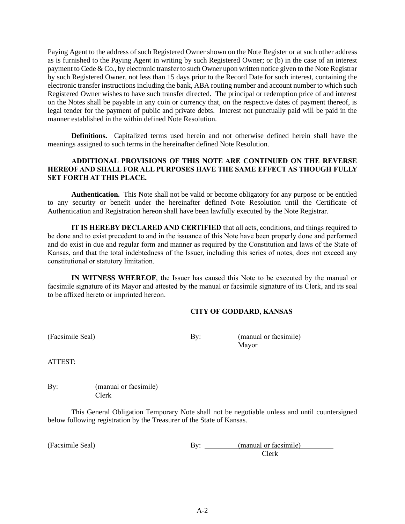Paying Agent to the address of such Registered Owner shown on the Note Register or at such other address as is furnished to the Paying Agent in writing by such Registered Owner; or (b) in the case of an interest payment to Cede & Co., by electronic transfer to such Owner upon written notice given to the Note Registrar by such Registered Owner, not less than 15 days prior to the Record Date for such interest, containing the electronic transfer instructions including the bank, ABA routing number and account number to which such Registered Owner wishes to have such transfer directed. The principal or redemption price of and interest on the Notes shall be payable in any coin or currency that, on the respective dates of payment thereof, is legal tender for the payment of public and private debts. Interest not punctually paid will be paid in the manner established in the within defined Note Resolution.

**Definitions.** Capitalized terms used herein and not otherwise defined herein shall have the meanings assigned to such terms in the hereinafter defined Note Resolution.

# **ADDITIONAL PROVISIONS OF THIS NOTE ARE CONTINUED ON THE REVERSE HEREOF AND SHALL FOR ALL PURPOSES HAVE THE SAME EFFECT AS THOUGH FULLY SET FORTH AT THIS PLACE.**

**Authentication.** This Note shall not be valid or become obligatory for any purpose or be entitled to any security or benefit under the hereinafter defined Note Resolution until the Certificate of Authentication and Registration hereon shall have been lawfully executed by the Note Registrar.

**IT IS HEREBY DECLARED AND CERTIFIED** that all acts, conditions, and things required to be done and to exist precedent to and in the issuance of this Note have been properly done and performed and do exist in due and regular form and manner as required by the Constitution and laws of the State of Kansas, and that the total indebtedness of the Issuer, including this series of notes, does not exceed any constitutional or statutory limitation.

**IN WITNESS WHEREOF**, the Issuer has caused this Note to be executed by the manual or facsimile signature of its Mayor and attested by the manual or facsimile signature of its Clerk, and its seal to be affixed hereto or imprinted hereon.

# **CITY OF GODDARD, KANSAS**

(Facsimile Seal) By: <u>(manual or facsimile</u>) Mayor

ATTEST:

By: (manual or facsimile) Clerk

This General Obligation Temporary Note shall not be negotiable unless and until countersigned below following registration by the Treasurer of the State of Kansas.

| (Facsimile Seal) | Bv: | (manual or facsimile) |
|------------------|-----|-----------------------|
|                  |     | 21erk                 |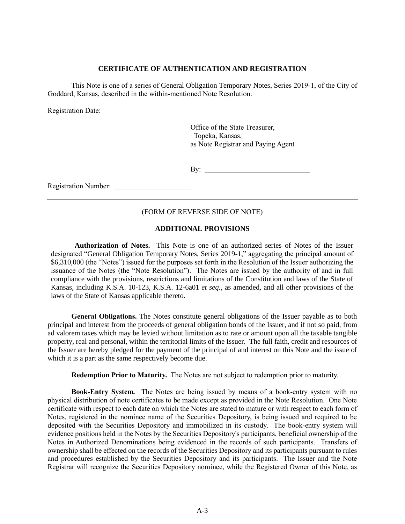## **CERTIFICATE OF AUTHENTICATION AND REGISTRATION**

This Note is one of a series of General Obligation Temporary Notes, Series 2019-1, of the City of Goddard, Kansas, described in the within-mentioned Note Resolution.

Registration Date:

Office of the State Treasurer, Topeka, Kansas, as Note Registrar and Paying Agent

By:

Registration Number:

## (FORM OF REVERSE SIDE OF NOTE)

## **ADDITIONAL PROVISIONS**

**Authorization of Notes.** This Note is one of an authorized series of Notes of the Issuer designated "General Obligation Temporary Notes, Series 2019-1," aggregating the principal amount of \$6,310,000 (the "Notes") issued for the purposes set forth in the Resolution of the Issuer authorizing the issuance of the Notes (the "Note Resolution"). The Notes are issued by the authority of and in full compliance with the provisions, restrictions and limitations of the Constitution and laws of the State of Kansas, including K.S.A. 10-123, K.S.A. 12-6a01 *et seq.*, as amended, and all other provisions of the laws of the State of Kansas applicable thereto.

**General Obligations.** The Notes constitute general obligations of the Issuer payable as to both principal and interest from the proceeds of general obligation bonds of the Issuer, and if not so paid, from ad valorem taxes which may be levied without limitation as to rate or amount upon all the taxable tangible property, real and personal, within the territorial limits of the Issuer. The full faith, credit and resources of the Issuer are hereby pledged for the payment of the principal of and interest on this Note and the issue of which it is a part as the same respectively become due.

**Redemption Prior to Maturity.** The Notes are not subject to redemption prior to maturity.

**Book-Entry System***.* The Notes are being issued by means of a book-entry system with no physical distribution of note certificates to be made except as provided in the Note Resolution. One Note certificate with respect to each date on which the Notes are stated to mature or with respect to each form of Notes, registered in the nominee name of the Securities Depository, is being issued and required to be deposited with the Securities Depository and immobilized in its custody. The book-entry system will evidence positions held in the Notes by the Securities Depository's participants, beneficial ownership of the Notes in Authorized Denominations being evidenced in the records of such participants. Transfers of ownership shall be effected on the records of the Securities Depository and its participants pursuant to rules and procedures established by the Securities Depository and its participants. The Issuer and the Note Registrar will recognize the Securities Depository nominee, while the Registered Owner of this Note, as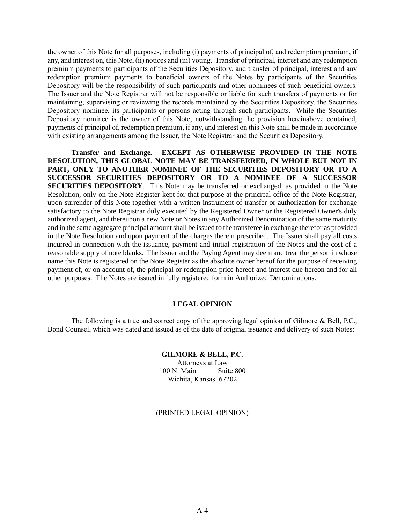the owner of this Note for all purposes, including (i) payments of principal of, and redemption premium, if any, and interest on, this Note, (ii) notices and (iii) voting. Transfer of principal, interest and any redemption premium payments to participants of the Securities Depository, and transfer of principal, interest and any redemption premium payments to beneficial owners of the Notes by participants of the Securities Depository will be the responsibility of such participants and other nominees of such beneficial owners. The Issuer and the Note Registrar will not be responsible or liable for such transfers of payments or for maintaining, supervising or reviewing the records maintained by the Securities Depository, the Securities Depository nominee, its participants or persons acting through such participants. While the Securities Depository nominee is the owner of this Note, notwithstanding the provision hereinabove contained, payments of principal of, redemption premium, if any, and interest on this Note shall be made in accordance with existing arrangements among the Issuer, the Note Registrar and the Securities Depository.

**Transfer and Exchange***.* **EXCEPT AS OTHERWISE PROVIDED IN THE NOTE RESOLUTION, THIS GLOBAL NOTE MAY BE TRANSFERRED, IN WHOLE BUT NOT IN PART, ONLY TO ANOTHER NOMINEE OF THE SECURITIES DEPOSITORY OR TO A SUCCESSOR SECURITIES DEPOSITORY OR TO A NOMINEE OF A SUCCESSOR SECURITIES DEPOSITORY**. This Note may be transferred or exchanged, as provided in the Note Resolution, only on the Note Register kept for that purpose at the principal office of the Note Registrar, upon surrender of this Note together with a written instrument of transfer or authorization for exchange satisfactory to the Note Registrar duly executed by the Registered Owner or the Registered Owner's duly authorized agent, and thereupon a new Note or Notes in any Authorized Denomination of the same maturity and in the same aggregate principal amount shall be issued to the transferee in exchange therefor as provided in the Note Resolution and upon payment of the charges therein prescribed. The Issuer shall pay all costs incurred in connection with the issuance, payment and initial registration of the Notes and the cost of a reasonable supply of note blanks. The Issuer and the Paying Agent may deem and treat the person in whose name this Note is registered on the Note Register as the absolute owner hereof for the purpose of receiving payment of, or on account of, the principal or redemption price hereof and interest due hereon and for all other purposes. The Notes are issued in fully registered form in Authorized Denominations.

## **LEGAL OPINION**

The following is a true and correct copy of the approving legal opinion of Gilmore & Bell, P.C., Bond Counsel, which was dated and issued as of the date of original issuance and delivery of such Notes:

## **GILMORE & BELL, P.C.**

Attorneys at Law 100 N. Main Suite 800 Wichita, Kansas 67202

(PRINTED LEGAL OPINION)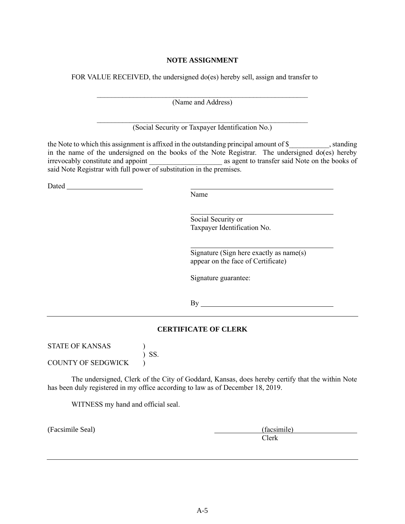# **NOTE ASSIGNMENT**

FOR VALUE RECEIVED, the undersigned do(es) hereby sell, assign and transfer to

 $\mathcal{L}_\text{max}$  and the contract of the contract of the contract of the contract of the contract of the contract of (Name and Address)

(Social Security or Taxpayer Identification No.)

the Note to which this assignment is affixed in the outstanding principal amount of \$ , standing in the name of the undersigned on the books of the Note Registrar. The undersigned do(es) hereby irrevocably constitute and appoint and appoint as agent to transfer said Note on the books of said Note Registrar with full power of substitution in the premises.

**Dated** 

Name

Social Security or Taxpayer Identification No.

Signature (Sign here exactly as name(s) appear on the face of Certificate)

Signature guarantee:

By

# **CERTIFICATE OF CLERK**

STATE OF KANSAS (1) ) SS.

COUNTY OF SEDGWICK )

The undersigned, Clerk of the City of Goddard, Kansas, does hereby certify that the within Note has been duly registered in my office according to law as of December 18, 2019.

WITNESS my hand and official seal.

(Facsimile Seal) (facsimile) Clerk